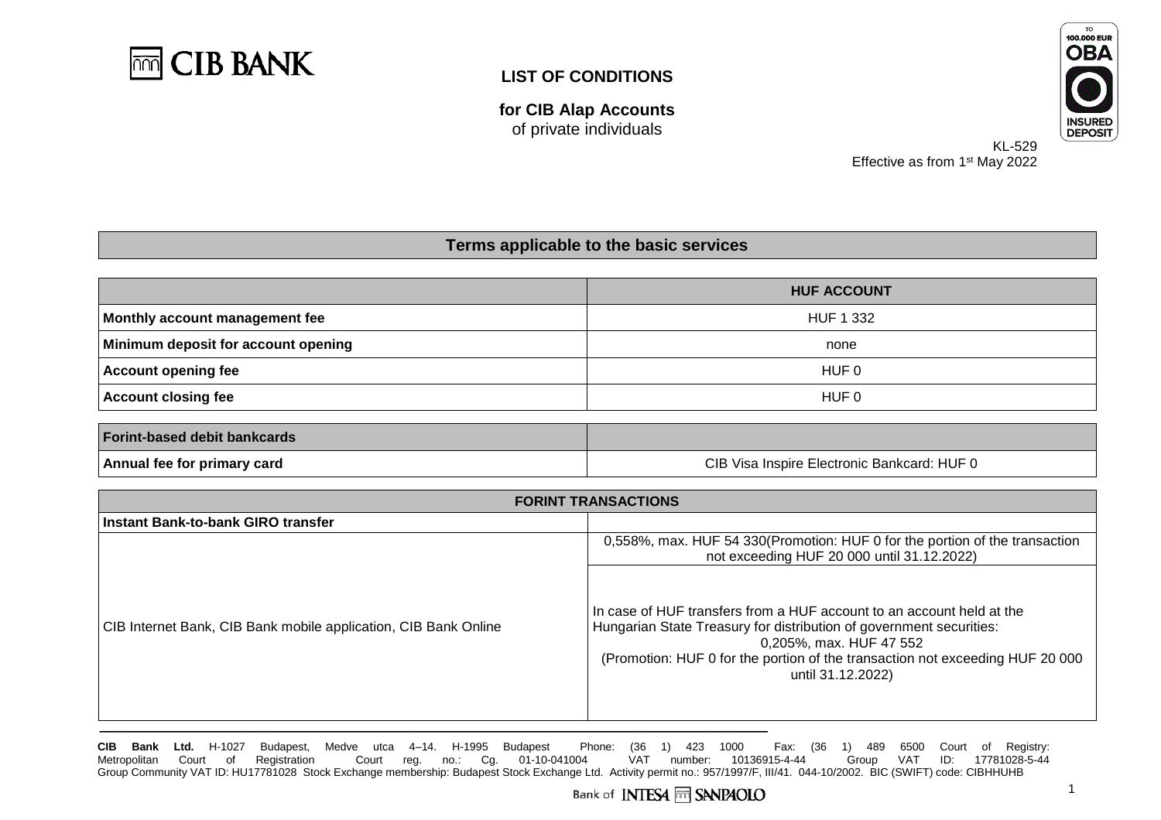

**for CIB Alap Accounts** of private individuals



KL-529 Effective as from 1<sup>st</sup> May 2022

#### **Terms applicable to the basic services**

|                                     | <b>HUF ACCOUNT</b> |
|-------------------------------------|--------------------|
| Monthly account management fee      | HUF 1 332          |
| Minimum deposit for account opening | none               |
| Account opening fee                 | HUF 0              |
| Account closing fee                 | HUF 0              |
|                                     |                    |
| <b>Forint-based debit bankcards</b> |                    |

| Forint-based debit bankcards |                                                       |
|------------------------------|-------------------------------------------------------|
| Annual fee for primary card  | : HUF I<br>CIB Visa<br>a Inspire Electronic Bankcard: |

| <b>FORINT TRANSACTIONS</b>                                      |                                                                                                                                                                                                                                                                                |
|-----------------------------------------------------------------|--------------------------------------------------------------------------------------------------------------------------------------------------------------------------------------------------------------------------------------------------------------------------------|
| Instant Bank-to-bank GIRO transfer                              |                                                                                                                                                                                                                                                                                |
|                                                                 | 0,558%, max. HUF 54 330 (Promotion: HUF 0 for the portion of the transaction<br>not exceeding HUF 20 000 until 31.12.2022)                                                                                                                                                     |
| CIB Internet Bank, CIB Bank mobile application, CIB Bank Online | In case of HUF transfers from a HUF account to an account held at the<br>Hungarian State Treasury for distribution of government securities:<br>0,205%, max. HUF 47 552<br>(Promotion: HUF 0 for the portion of the transaction not exceeding HUF 20 000)<br>until 31.12.2022) |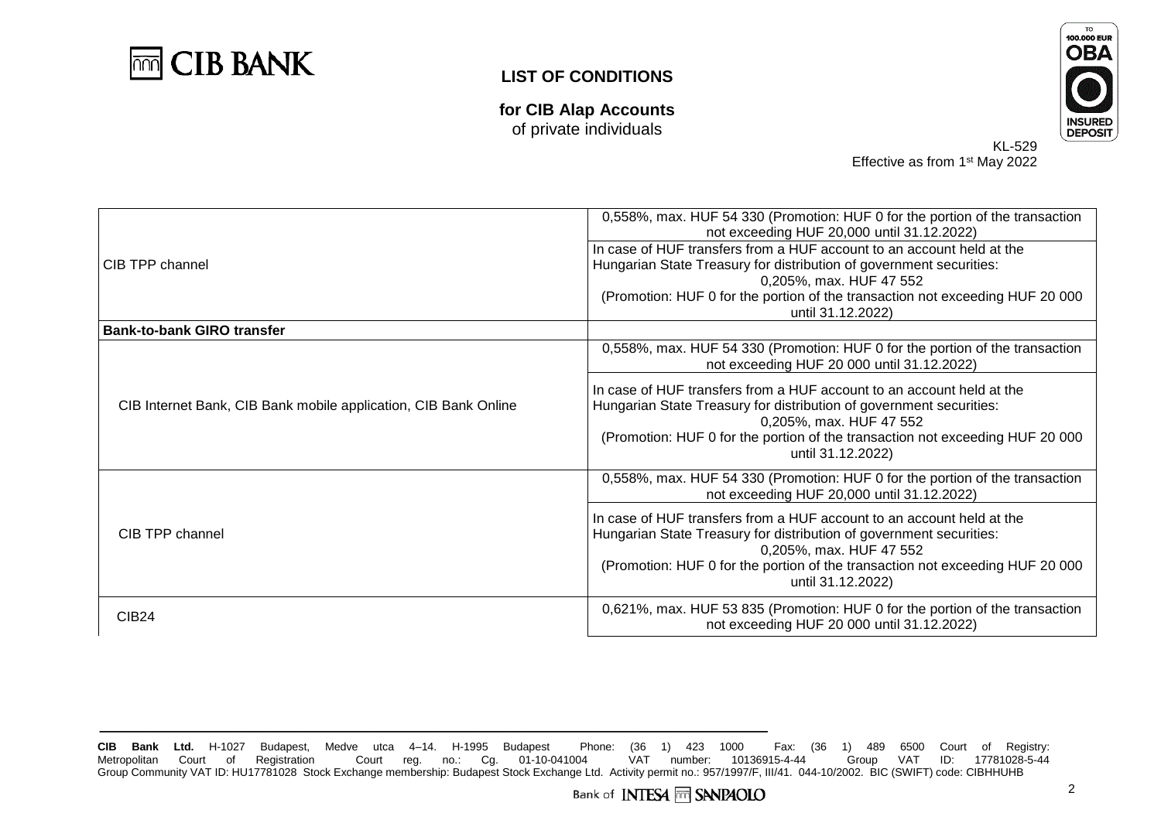**CIB BANK** mm

**for CIB Alap Accounts** of private individuals



KL-529 Effective as from 1<sup>st</sup> May 2022

|                                                                 | 0,558%, max. HUF 54 330 (Promotion: HUF 0 for the portion of the transaction  |
|-----------------------------------------------------------------|-------------------------------------------------------------------------------|
|                                                                 | not exceeding HUF 20,000 until 31.12.2022)                                    |
|                                                                 | In case of HUF transfers from a HUF account to an account held at the         |
| CIB TPP channel                                                 | Hungarian State Treasury for distribution of government securities:           |
|                                                                 | 0,205%, max. HUF 47 552                                                       |
|                                                                 | (Promotion: HUF 0 for the portion of the transaction not exceeding HUF 20 000 |
|                                                                 | until 31.12.2022)                                                             |
| <b>Bank-to-bank GIRO transfer</b>                               |                                                                               |
|                                                                 | 0,558%, max. HUF 54 330 (Promotion: HUF 0 for the portion of the transaction  |
|                                                                 | not exceeding HUF 20 000 until 31.12.2022)                                    |
|                                                                 | In case of HUF transfers from a HUF account to an account held at the         |
| CIB Internet Bank, CIB Bank mobile application, CIB Bank Online | Hungarian State Treasury for distribution of government securities:           |
|                                                                 | 0,205%, max. HUF 47 552                                                       |
|                                                                 | (Promotion: HUF 0 for the portion of the transaction not exceeding HUF 20 000 |
|                                                                 | until 31.12.2022)                                                             |
|                                                                 |                                                                               |
| CIB TPP channel                                                 | 0,558%, max. HUF 54 330 (Promotion: HUF 0 for the portion of the transaction  |
|                                                                 | not exceeding HUF 20,000 until 31.12.2022)                                    |
|                                                                 | In case of HUF transfers from a HUF account to an account held at the         |
|                                                                 | Hungarian State Treasury for distribution of government securities:           |
|                                                                 | 0,205%, max. HUF 47 552                                                       |
|                                                                 | (Promotion: HUF 0 for the portion of the transaction not exceeding HUF 20 000 |
|                                                                 | until 31.12.2022)                                                             |
|                                                                 | 0,621%, max. HUF 53 835 (Promotion: HUF 0 for the portion of the transaction  |
| <b>CIB24</b>                                                    | not exceeding HUF 20 000 until 31.12.2022)                                    |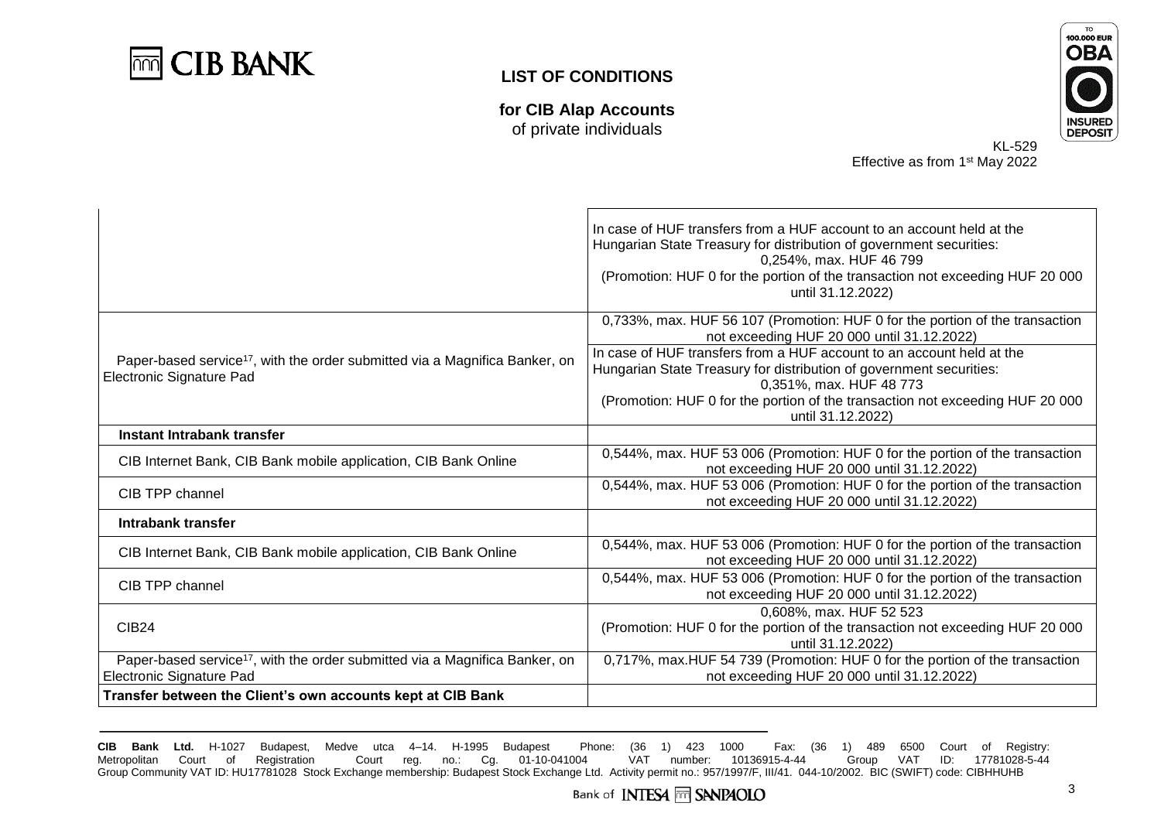

**for CIB Alap Accounts** of private individuals



KL-529 Effective as from 1<sup>st</sup> May 2022

|                                                                                                                            | In case of HUF transfers from a HUF account to an account held at the<br>Hungarian State Treasury for distribution of government securities:<br>0,254%, max. HUF 46 799<br>(Promotion: HUF 0 for the portion of the transaction not exceeding HUF 20 000<br>until 31.12.2022) |
|----------------------------------------------------------------------------------------------------------------------------|-------------------------------------------------------------------------------------------------------------------------------------------------------------------------------------------------------------------------------------------------------------------------------|
|                                                                                                                            | 0,733%, max. HUF 56 107 (Promotion: HUF 0 for the portion of the transaction<br>not exceeding HUF 20 000 until 31.12.2022)                                                                                                                                                    |
| Paper-based service <sup>17</sup> , with the order submitted via a Magnifica Banker, on<br>Electronic Signature Pad        | In case of HUF transfers from a HUF account to an account held at the<br>Hungarian State Treasury for distribution of government securities:<br>0,351%, max. HUF 48 773<br>(Promotion: HUF 0 for the portion of the transaction not exceeding HUF 20 000                      |
| Instant Intrabank transfer                                                                                                 | until 31.12.2022)                                                                                                                                                                                                                                                             |
|                                                                                                                            |                                                                                                                                                                                                                                                                               |
| CIB Internet Bank, CIB Bank mobile application, CIB Bank Online                                                            | 0,544%, max. HUF 53 006 (Promotion: HUF 0 for the portion of the transaction<br>not exceeding HUF 20 000 until 31.12.2022)                                                                                                                                                    |
| CIB TPP channel                                                                                                            | 0,544%, max. HUF 53 006 (Promotion: HUF 0 for the portion of the transaction<br>not exceeding HUF 20 000 until 31.12.2022)                                                                                                                                                    |
| Intrabank transfer                                                                                                         |                                                                                                                                                                                                                                                                               |
| CIB Internet Bank, CIB Bank mobile application, CIB Bank Online                                                            | 0,544%, max. HUF 53 006 (Promotion: HUF 0 for the portion of the transaction<br>not exceeding HUF 20 000 until 31.12.2022)                                                                                                                                                    |
| CIB TPP channel                                                                                                            | 0,544%, max. HUF 53 006 (Promotion: HUF 0 for the portion of the transaction<br>not exceeding HUF 20 000 until 31.12.2022)                                                                                                                                                    |
| <b>CIB24</b>                                                                                                               | 0,608%, max. HUF 52 523<br>(Promotion: HUF 0 for the portion of the transaction not exceeding HUF 20 000                                                                                                                                                                      |
|                                                                                                                            | until 31.12.2022)                                                                                                                                                                                                                                                             |
| Paper-based service <sup>17</sup> , with the order submitted via a Magnifica Banker, on<br><b>Electronic Signature Pad</b> | 0,717%, max.HUF 54 739 (Promotion: HUF 0 for the portion of the transaction<br>not exceeding HUF 20 000 until 31.12.2022)                                                                                                                                                     |
| Transfer between the Client's own accounts kept at CIB Bank                                                                |                                                                                                                                                                                                                                                                               |
|                                                                                                                            |                                                                                                                                                                                                                                                                               |

**CIB Bank Ltd.** H-1027 Budapest, Medve utca 4–14. H-1995 Budapest Phone: (36 1) 423 1000 Fax: (36 1) 489 6500 Court of Registry: Court reg. no.: Cg. 01-10-041004 VAT number: 10136915-4-44 Group VAT ID: 17781028-5-44 Group Community VAT ID: HU17781028 Stock Exchange membership: Budapest Stock Exchange Ltd. Activity permit no.: 957/1997/F, III/41. 044-10/2002. BIC (SWIFT) code: CIBHHUHB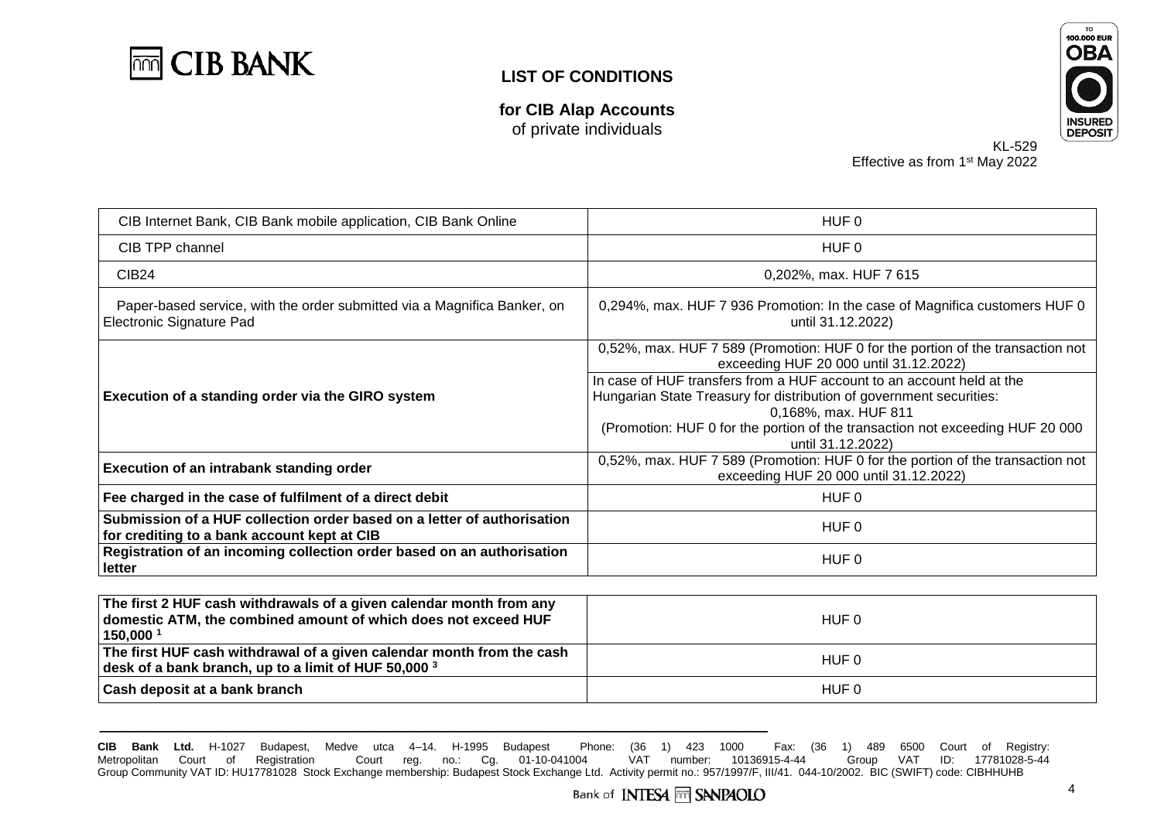

**for CIB Alap Accounts** of private individuals



KL-529 Effective as from 1<sup>st</sup> May 2022

| CIB Internet Bank, CIB Bank mobile application, CIB Bank Online                                                        | HUF 0                                                                                                                                                                                                                                                                      |
|------------------------------------------------------------------------------------------------------------------------|----------------------------------------------------------------------------------------------------------------------------------------------------------------------------------------------------------------------------------------------------------------------------|
| CIB TPP channel                                                                                                        | HUF 0                                                                                                                                                                                                                                                                      |
| CIB <sub>24</sub>                                                                                                      | 0,202%, max. HUF 7 615                                                                                                                                                                                                                                                     |
| Paper-based service, with the order submitted via a Magnifica Banker, on<br>Electronic Signature Pad                   | 0,294%, max. HUF 7 936 Promotion: In the case of Magnifica customers HUF 0<br>until 31.12.2022)                                                                                                                                                                            |
| Execution of a standing order via the GIRO system                                                                      | 0,52%, max. HUF 7 589 (Promotion: HUF 0 for the portion of the transaction not<br>exceeding HUF 20 000 until 31.12.2022)                                                                                                                                                   |
|                                                                                                                        | In case of HUF transfers from a HUF account to an account held at the<br>Hungarian State Treasury for distribution of government securities:<br>0,168%, max. HUF 811<br>(Promotion: HUF 0 for the portion of the transaction not exceeding HUF 20 000<br>until 31.12.2022) |
| <b>Execution of an intrabank standing order</b>                                                                        | 0,52%, max. HUF 7 589 (Promotion: HUF 0 for the portion of the transaction not<br>exceeding HUF 20 000 until 31.12.2022)                                                                                                                                                   |
| Fee charged in the case of fulfilment of a direct debit                                                                | HUF 0                                                                                                                                                                                                                                                                      |
| Submission of a HUF collection order based on a letter of authorisation<br>for crediting to a bank account kept at CIB | HUF 0                                                                                                                                                                                                                                                                      |
| Registration of an incoming collection order based on an authorisation<br>letter                                       | HUF 0                                                                                                                                                                                                                                                                      |
| <u>l – a antonio de la conte</u><br>.<br>$\sim$ $\sim$                                                                 |                                                                                                                                                                                                                                                                            |

| The first 2 HUF cash withdrawals of a given calendar month from any<br>domestic ATM, the combined amount of which does not exceed HUF<br>150,000 | HUF 0 |
|--------------------------------------------------------------------------------------------------------------------------------------------------|-------|
| The first HUF cash withdrawal of a given calendar month from the cash<br>desk of a bank branch, up to a limit of HUF 50,000 $^3$                 | HUF 0 |
| Cash deposit at a bank branch                                                                                                                    | HUF 0 |

**CIB Bank Ltd.** H-1027 Budapest, Medve utca 4–14. H-1995 Budapest Phone: (36 1) 423 1000 Fax: (36 1) 489 6500 Court of Registry: Court reg. no.: Cg. 01-10-041004 VAT number: 10136915-4-44 Group VAT ID: 17781028-5-44 Group Community VAT ID: HU17781028 Stock Exchange membership: Budapest Stock Exchange Ltd. Activity permit no.: 957/1997/F, III/41. 044-10/2002. BIC (SWIFT) code: CIBHHUHB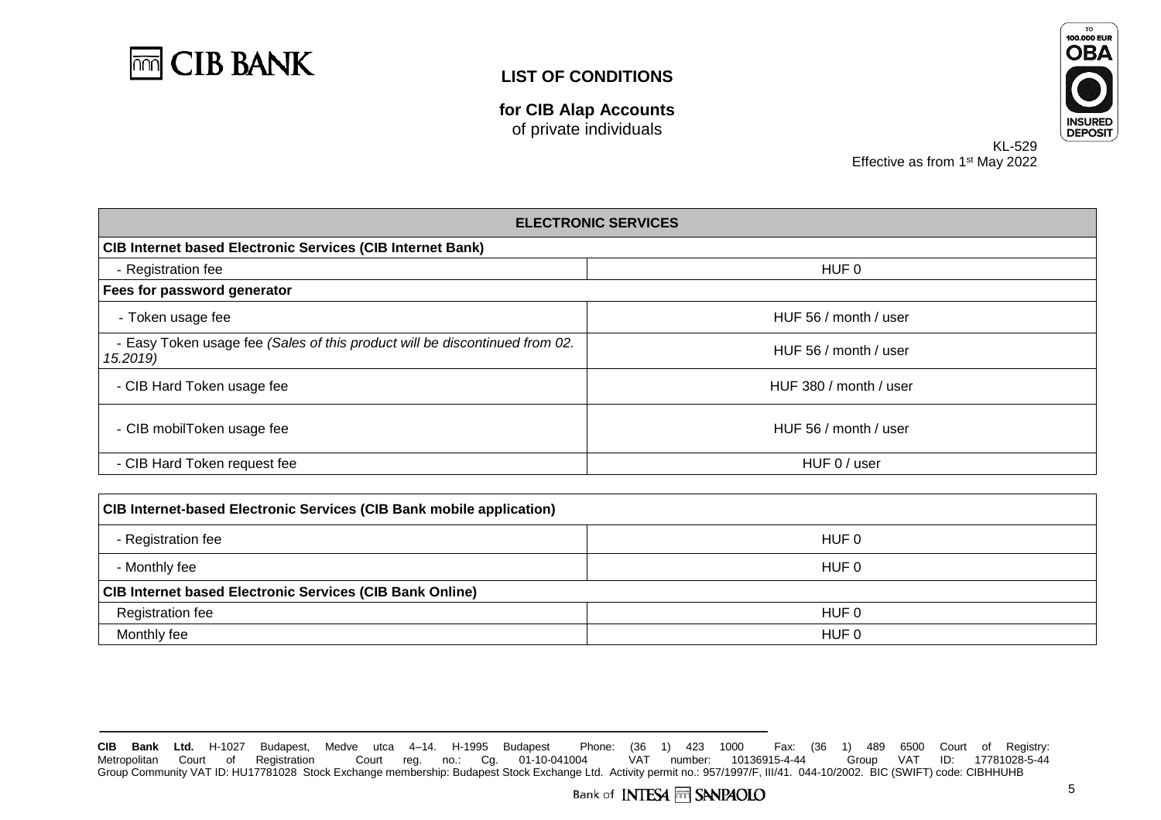

**for CIB Alap Accounts** of private individuals



KL-529 Effective as from 1<sup>st</sup> May 2022

| <b>ELECTRONIC SERVICES</b><br><b>CIB Internet based Electronic Services (CIB Internet Bank)</b> |                        |                    |
|-------------------------------------------------------------------------------------------------|------------------------|--------------------|
|                                                                                                 |                        | - Registration fee |
| Fees for password generator                                                                     |                        |                    |
| - Token usage fee                                                                               | HUF 56 / month / user  |                    |
| - Easy Token usage fee (Sales of this product will be discontinued from 02.<br>15.2019)         | HUF 56 / month / user  |                    |
| - CIB Hard Token usage fee                                                                      | HUF 380 / month / user |                    |
| - CIB mobilToken usage fee                                                                      | HUF 56 / month / user  |                    |
| - CIB Hard Token request fee                                                                    | HUF 0 / user           |                    |
|                                                                                                 |                        |                    |

| <b>CIB Internet-based Electronic Services (CIB Bank mobile application)</b> |       |  |
|-----------------------------------------------------------------------------|-------|--|
| - Registration fee                                                          | HUF 0 |  |
| - Monthly fee                                                               | HUF 0 |  |
| <b>CIB Internet based Electronic Services (CIB Bank Online)</b>             |       |  |
| <b>Registration fee</b>                                                     | HUF 0 |  |
| Monthly fee                                                                 | HUF 0 |  |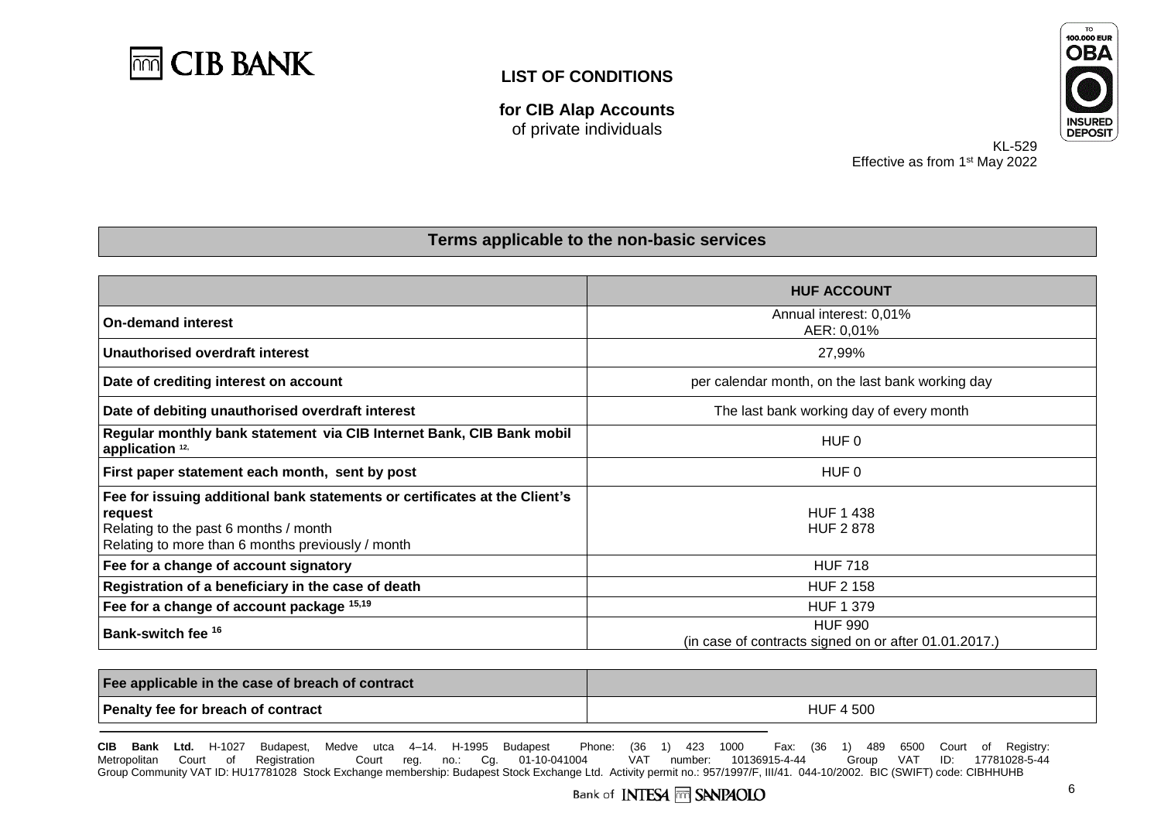

**for CIB Alap Accounts** of private individuals



KL-529 Effective as from 1<sup>st</sup> May 2022

#### **Terms applicable to the non-basic services**

|                                                                                                                                                                                     | <b>HUF ACCOUNT</b>                                                      |
|-------------------------------------------------------------------------------------------------------------------------------------------------------------------------------------|-------------------------------------------------------------------------|
| <b>On-demand interest</b>                                                                                                                                                           | Annual interest: 0,01%<br>AER: 0,01%                                    |
| Unauthorised overdraft interest                                                                                                                                                     | 27,99%                                                                  |
| Date of crediting interest on account                                                                                                                                               | per calendar month, on the last bank working day                        |
| Date of debiting unauthorised overdraft interest                                                                                                                                    | The last bank working day of every month                                |
| Regular monthly bank statement via CIB Internet Bank, CIB Bank mobil<br>application <sup>12,</sup>                                                                                  | HUF 0                                                                   |
| First paper statement each month, sent by post                                                                                                                                      | HUF 0                                                                   |
| Fee for issuing additional bank statements or certificates at the Client's<br>request<br>Relating to the past 6 months / month<br>Relating to more than 6 months previously / month | <b>HUF 1 438</b><br><b>HUF 2878</b>                                     |
| Fee for a change of account signatory                                                                                                                                               | <b>HUF 718</b>                                                          |
| Registration of a beneficiary in the case of death                                                                                                                                  | <b>HUF 2 158</b>                                                        |
| Fee for a change of account package 15,19                                                                                                                                           | <b>HUF 1 379</b>                                                        |
| Bank-switch fee <sup>16</sup>                                                                                                                                                       | <b>HUF 990</b><br>(in case of contracts signed on or after 01.01.2017.) |

| Fee applicable in the case of breach of contract |                  |
|--------------------------------------------------|------------------|
| Penalty fee for breach of contract               | <b>HUF 4 500</b> |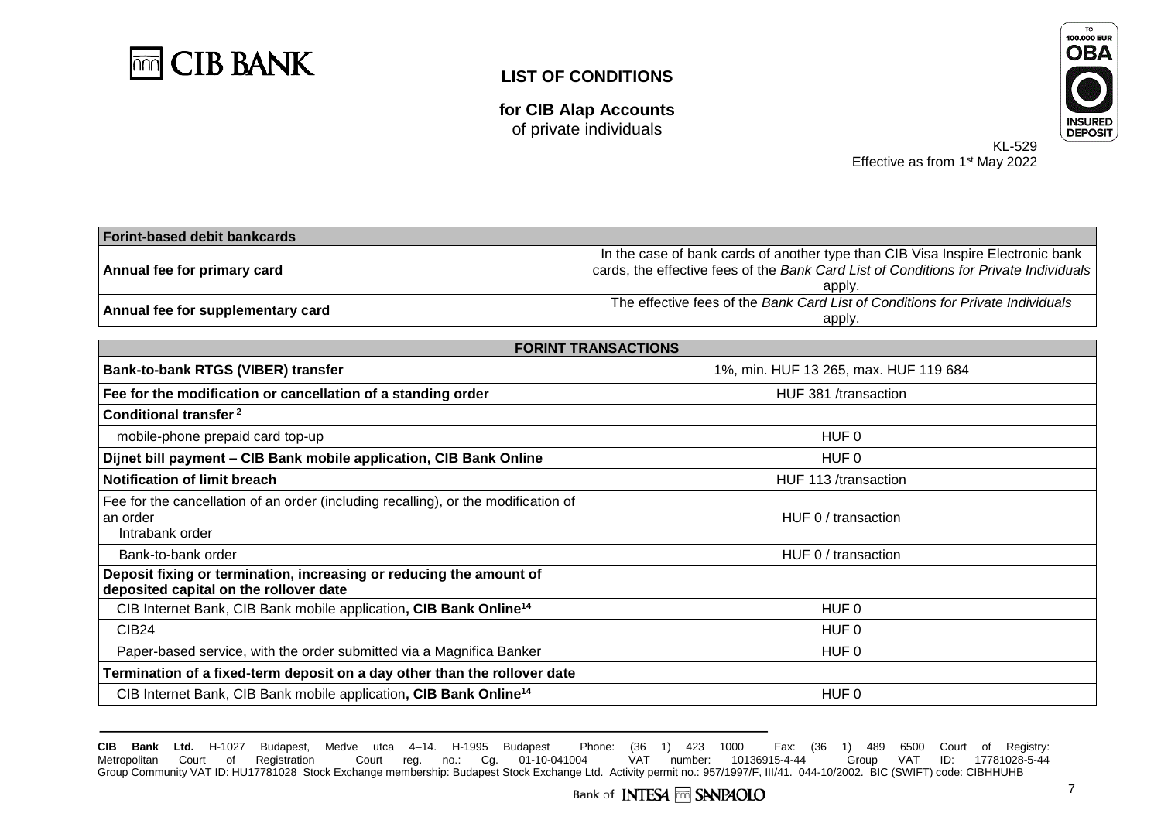

**for CIB Alap Accounts** of private individuals



KL-529 Effective as from 1<sup>st</sup> May 2022

| <b>Forint-based debit bankcards</b> |                                                                                       |
|-------------------------------------|---------------------------------------------------------------------------------------|
| Annual fee for primary card         | In the case of bank cards of another type than CIB Visa Inspire Electronic bank       |
|                                     | cards, the effective fees of the Bank Card List of Conditions for Private Individuals |
|                                     | apply.                                                                                |
| Annual fee for supplementary card   | The effective fees of the Bank Card List of Conditions for Private Individuals        |
|                                     | apply.                                                                                |

| <b>FORINT TRANSACTIONS</b>                                                                                        |                                       |  |
|-------------------------------------------------------------------------------------------------------------------|---------------------------------------|--|
| Bank-to-bank RTGS (VIBER) transfer                                                                                | 1%, min. HUF 13 265, max. HUF 119 684 |  |
| Fee for the modification or cancellation of a standing order                                                      | HUF 381 /transaction                  |  |
| Conditional transfer <sup>2</sup>                                                                                 |                                       |  |
| mobile-phone prepaid card top-up                                                                                  | HUF 0                                 |  |
| Dijnet bill payment - CIB Bank mobile application, CIB Bank Online                                                | HUF 0                                 |  |
| <b>Notification of limit breach</b>                                                                               | HUF 113 /transaction                  |  |
| Fee for the cancellation of an order (including recalling), or the modification of<br>an order<br>Intrabank order | HUF 0 / transaction                   |  |
| Bank-to-bank order                                                                                                | HUF 0 / transaction                   |  |
| Deposit fixing or termination, increasing or reducing the amount of<br>deposited capital on the rollover date     |                                       |  |
| CIB Internet Bank, CIB Bank mobile application, CIB Bank Online <sup>14</sup>                                     | HUF 0                                 |  |
| <b>CIB24</b>                                                                                                      | HUF 0                                 |  |
| Paper-based service, with the order submitted via a Magnifica Banker                                              | HUF 0                                 |  |
| Termination of a fixed-term deposit on a day other than the rollover date                                         |                                       |  |
| CIB Internet Bank, CIB Bank mobile application, CIB Bank Online <sup>14</sup><br>HUF 0                            |                                       |  |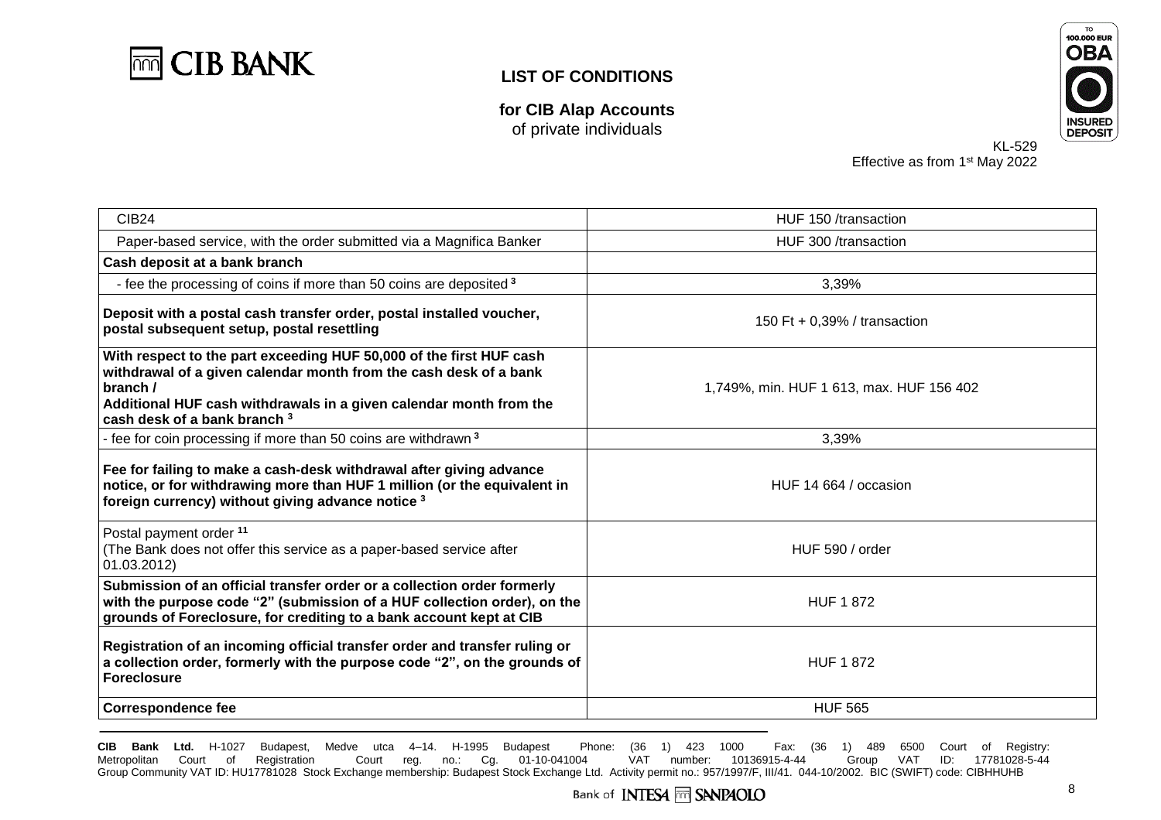

**for CIB Alap Accounts** of private individuals



KL-529 Effective as from 1<sup>st</sup> May 2022

| <b>CIB24</b>                                                                                                                                                                                                                                               | HUF 150 /transaction                     |  |  |
|------------------------------------------------------------------------------------------------------------------------------------------------------------------------------------------------------------------------------------------------------------|------------------------------------------|--|--|
| Paper-based service, with the order submitted via a Magnifica Banker                                                                                                                                                                                       | HUF 300 /transaction                     |  |  |
| Cash deposit at a bank branch                                                                                                                                                                                                                              |                                          |  |  |
| - fee the processing of coins if more than 50 coins are deposited 3                                                                                                                                                                                        | 3,39%                                    |  |  |
| Deposit with a postal cash transfer order, postal installed voucher,<br>postal subsequent setup, postal resettling                                                                                                                                         | 150 Ft + 0,39% / transaction             |  |  |
| With respect to the part exceeding HUF 50,000 of the first HUF cash<br>withdrawal of a given calendar month from the cash desk of a bank<br>branch /<br>Additional HUF cash withdrawals in a given calendar month from the<br>cash desk of a bank branch 3 | 1,749%, min. HUF 1 613, max. HUF 156 402 |  |  |
| - fee for coin processing if more than 50 coins are withdrawn <sup>3</sup>                                                                                                                                                                                 | 3,39%                                    |  |  |
| Fee for failing to make a cash-desk withdrawal after giving advance<br>notice, or for withdrawing more than HUF 1 million (or the equivalent in<br>foreign currency) without giving advance notice 3                                                       | HUF 14 664 / occasion                    |  |  |
| Postal payment order <sup>11</sup><br>(The Bank does not offer this service as a paper-based service after<br>01.03.2012)                                                                                                                                  | HUF 590 / order                          |  |  |
| Submission of an official transfer order or a collection order formerly<br>with the purpose code "2" (submission of a HUF collection order), on the<br>grounds of Foreclosure, for crediting to a bank account kept at CIB                                 | <b>HUF 1 872</b>                         |  |  |
| Registration of an incoming official transfer order and transfer ruling or<br>a collection order, formerly with the purpose code "2", on the grounds of<br><b>Foreclosure</b>                                                                              | <b>HUF 1872</b>                          |  |  |
| <b>Correspondence fee</b>                                                                                                                                                                                                                                  | <b>HUF 565</b>                           |  |  |
|                                                                                                                                                                                                                                                            |                                          |  |  |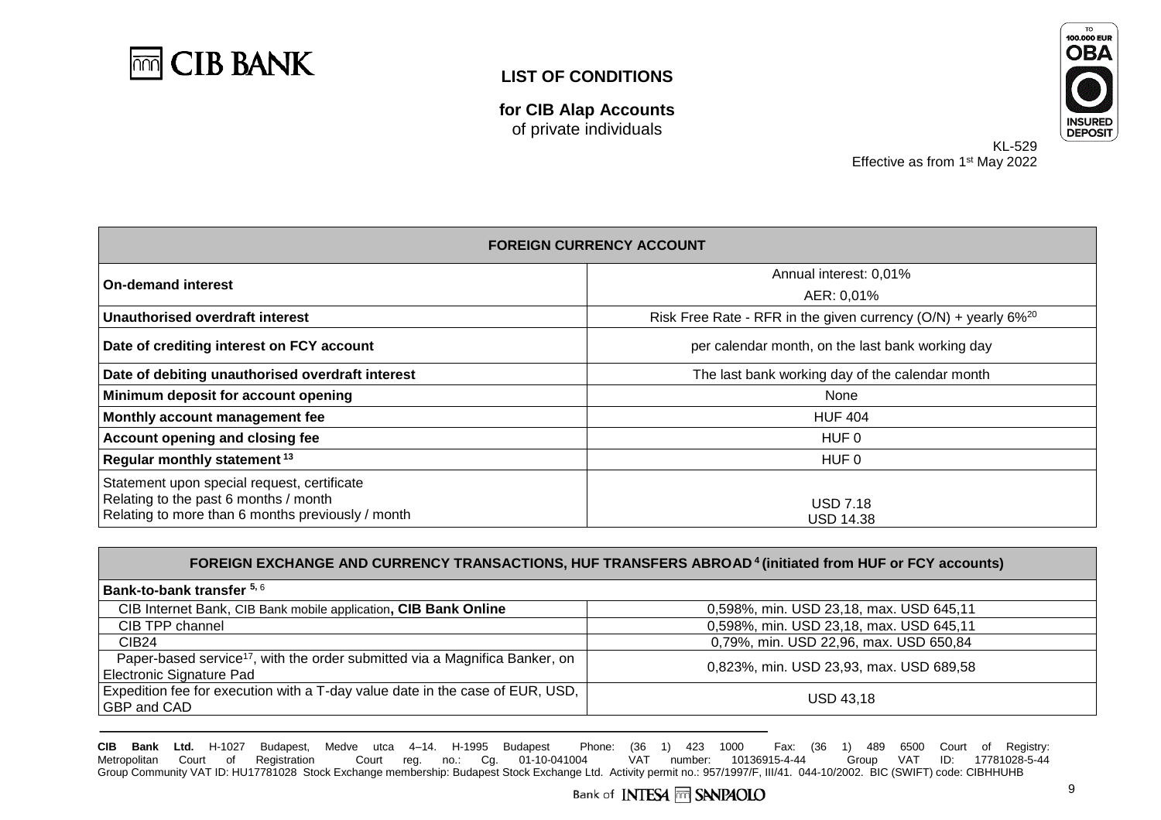

**for CIB Alap Accounts** of private individuals



KL-529 Effective as from 1<sup>st</sup> May 2022

| <b>FOREIGN CURRENCY ACCOUNT</b>                                                                                                           |                                                                              |  |
|-------------------------------------------------------------------------------------------------------------------------------------------|------------------------------------------------------------------------------|--|
| <b>On-demand interest</b>                                                                                                                 | Annual interest: 0,01%                                                       |  |
|                                                                                                                                           | AER: 0,01%                                                                   |  |
| Unauthorised overdraft interest                                                                                                           | Risk Free Rate - RFR in the given currency $(O/N)$ + yearly 6% <sup>20</sup> |  |
| Date of crediting interest on FCY account                                                                                                 | per calendar month, on the last bank working day                             |  |
| Date of debiting unauthorised overdraft interest                                                                                          | The last bank working day of the calendar month                              |  |
| Minimum deposit for account opening                                                                                                       | None                                                                         |  |
| Monthly account management fee                                                                                                            | <b>HUF 404</b>                                                               |  |
| Account opening and closing fee                                                                                                           | HUF 0                                                                        |  |
| Regular monthly statement <sup>13</sup>                                                                                                   | HUF 0                                                                        |  |
| Statement upon special request, certificate<br>Relating to the past 6 months / month<br>Relating to more than 6 months previously / month | <b>USD 7.18</b><br><b>USD 14.38</b>                                          |  |

| FOREIGN EXCHANGE AND CURRENCY TRANSACTIONS, HUF TRANSFERS ABROAD <sup>4</sup> (initiated from HUF or FCY accounts)  |                                         |  |  |
|---------------------------------------------------------------------------------------------------------------------|-----------------------------------------|--|--|
| Bank-to-bank transfer 5, 6                                                                                          |                                         |  |  |
| CIB Internet Bank, CIB Bank mobile application, CIB Bank Online                                                     | 0,598%, min. USD 23,18, max. USD 645,11 |  |  |
| CIB TPP channel                                                                                                     | 0,598%, min. USD 23,18, max. USD 645,11 |  |  |
| <b>CIB24</b>                                                                                                        | 0,79%, min. USD 22,96, max. USD 650,84  |  |  |
| Paper-based service <sup>17</sup> , with the order submitted via a Magnifica Banker, on<br>Electronic Signature Pad | 0,823%, min. USD 23,93, max. USD 689,58 |  |  |
| Expedition fee for execution with a T-day value date in the case of EUR, USD,<br>GBP and CAD                        | <b>USD 43.18</b>                        |  |  |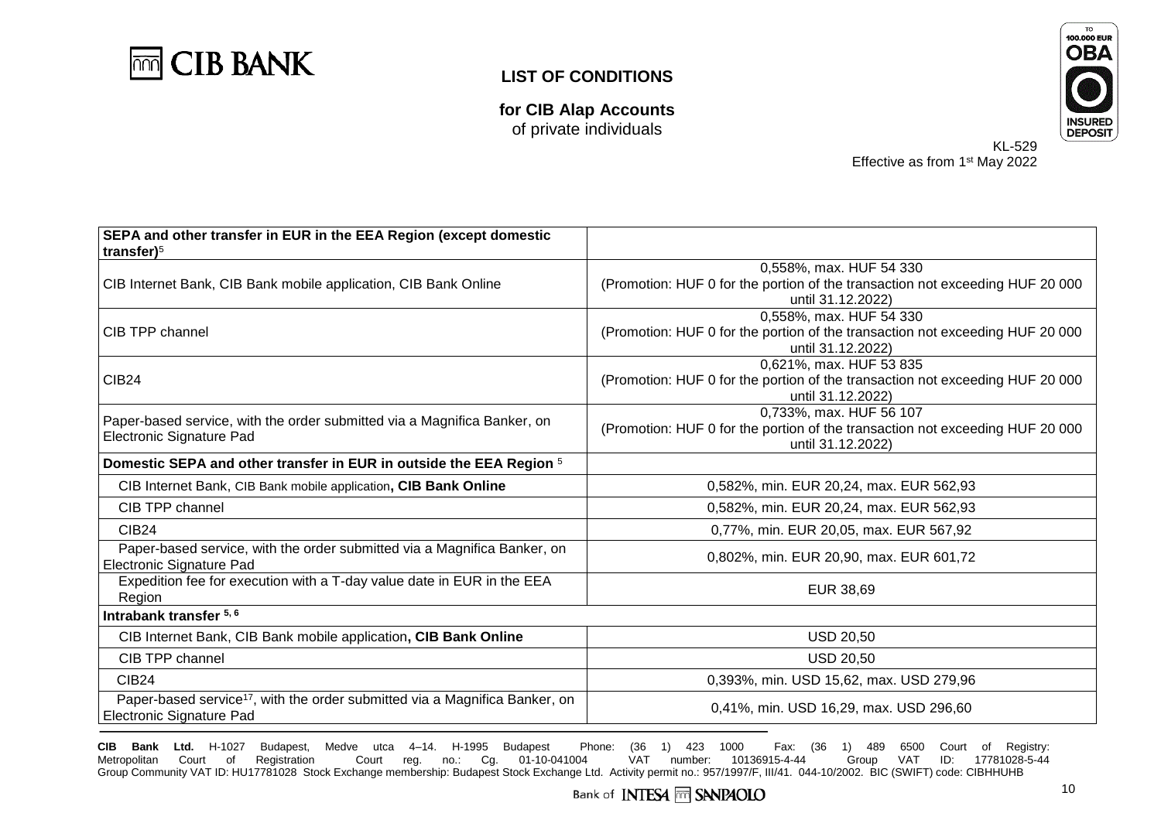

**for CIB Alap Accounts** of private individuals



KL-529 Effective as from 1<sup>st</sup> May 2022

| SEPA and other transfer in EUR in the EEA Region (except domestic<br>transfer $)^5$                                 |                                                                                                                               |  |
|---------------------------------------------------------------------------------------------------------------------|-------------------------------------------------------------------------------------------------------------------------------|--|
| CIB Internet Bank, CIB Bank mobile application, CIB Bank Online                                                     | 0,558%, max. HUF 54 330<br>(Promotion: HUF 0 for the portion of the transaction not exceeding HUF 20 000<br>until 31.12.2022) |  |
| <b>CIB TPP channel</b>                                                                                              | 0,558%, max. HUF 54 330<br>(Promotion: HUF 0 for the portion of the transaction not exceeding HUF 20 000<br>until 31.12.2022) |  |
| CIB <sub>24</sub>                                                                                                   | 0,621%, max. HUF 53 835<br>(Promotion: HUF 0 for the portion of the transaction not exceeding HUF 20 000<br>until 31.12.2022) |  |
| Paper-based service, with the order submitted via a Magnifica Banker, on<br>Electronic Signature Pad                | 0.733%, max. HUF 56 107<br>(Promotion: HUF 0 for the portion of the transaction not exceeding HUF 20 000<br>until 31.12.2022) |  |
| Domestic SEPA and other transfer in EUR in outside the EEA Region 5                                                 |                                                                                                                               |  |
| CIB Internet Bank, CIB Bank mobile application, CIB Bank Online                                                     | 0,582%, min. EUR 20,24, max. EUR 562,93                                                                                       |  |
| CIB TPP channel                                                                                                     | 0,582%, min. EUR 20,24, max. EUR 562,93                                                                                       |  |
| <b>CIB24</b>                                                                                                        | 0,77%, min. EUR 20,05, max. EUR 567,92                                                                                        |  |
| Paper-based service, with the order submitted via a Magnifica Banker, on<br>Electronic Signature Pad                | 0,802%, min. EUR 20,90, max. EUR 601,72                                                                                       |  |
| Expedition fee for execution with a T-day value date in EUR in the EEA<br>Region                                    | EUR 38,69                                                                                                                     |  |
| Intrabank transfer 5, 6                                                                                             |                                                                                                                               |  |
| CIB Internet Bank, CIB Bank mobile application, CIB Bank Online                                                     | <b>USD 20,50</b>                                                                                                              |  |
| CIB TPP channel                                                                                                     | <b>USD 20,50</b>                                                                                                              |  |
| <b>CIB24</b>                                                                                                        | 0,393%, min. USD 15,62, max. USD 279,96                                                                                       |  |
| Paper-based service <sup>17</sup> , with the order submitted via a Magnifica Banker, on<br>Electronic Signature Pad | 0,41%, min. USD 16,29, max. USD 296,60                                                                                        |  |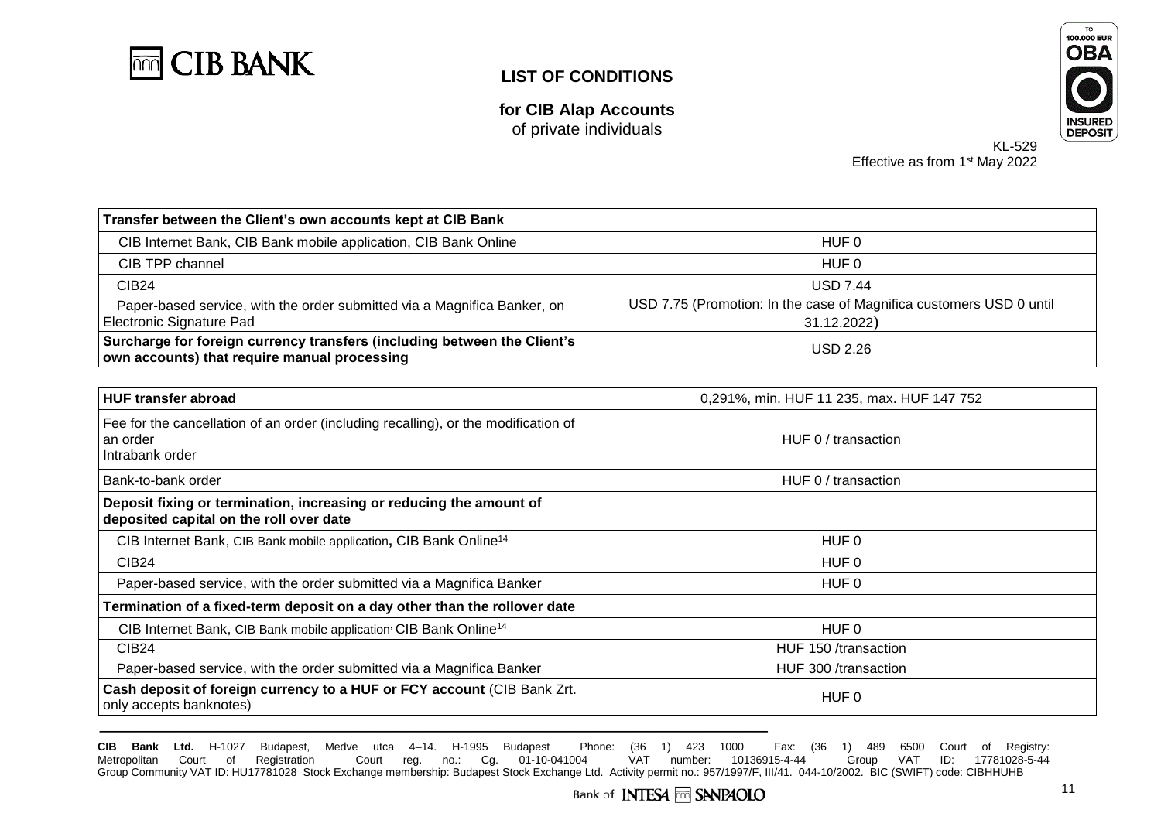

**for CIB Alap Accounts** of private individuals



KL-529 Effective as from 1<sup>st</sup> May 2022

| Transfer between the Client's own accounts kept at CIB Bank                                                              |                                                                                    |  |  |
|--------------------------------------------------------------------------------------------------------------------------|------------------------------------------------------------------------------------|--|--|
| CIB Internet Bank, CIB Bank mobile application, CIB Bank Online                                                          | HUF 0                                                                              |  |  |
| CIB TPP channel                                                                                                          | HUF 0                                                                              |  |  |
| <b>CIB24</b>                                                                                                             | <b>USD 7.44</b>                                                                    |  |  |
| Paper-based service, with the order submitted via a Magnifica Banker, on<br>Electronic Signature Pad                     | USD 7.75 (Promotion: In the case of Magnifica customers USD 0 until<br>31.12.2022) |  |  |
| Surcharge for foreign currency transfers (including between the Client's<br>own accounts) that require manual processing | <b>USD 2.26</b>                                                                    |  |  |
|                                                                                                                          |                                                                                    |  |  |

| <b>HUF transfer abroad</b>                                                                                        | 0,291%, min. HUF 11 235, max. HUF 147 752 |  |
|-------------------------------------------------------------------------------------------------------------------|-------------------------------------------|--|
| Fee for the cancellation of an order (including recalling), or the modification of<br>an order<br>Intrabank order | HUF 0 / transaction                       |  |
| Bank-to-bank order                                                                                                | HUF 0 / transaction                       |  |
| Deposit fixing or termination, increasing or reducing the amount of<br>deposited capital on the roll over date    |                                           |  |
| CIB Internet Bank, CIB Bank mobile application, CIB Bank Online <sup>14</sup>                                     | HUF 0                                     |  |
| CIB <sub>24</sub>                                                                                                 | HUF 0                                     |  |
| Paper-based service, with the order submitted via a Magnifica Banker                                              | HUF 0                                     |  |
| Termination of a fixed-term deposit on a day other than the rollover date                                         |                                           |  |
| CIB Internet Bank, CIB Bank mobile application <sup>,</sup> CIB Bank Online <sup>14</sup>                         | HUF 0                                     |  |
| CIB <sub>24</sub>                                                                                                 | HUF 150 /transaction                      |  |
| Paper-based service, with the order submitted via a Magnifica Banker                                              | HUF 300 /transaction                      |  |
| Cash deposit of foreign currency to a HUF or FCY account (CIB Bank Zrt.<br>only accepts banknotes)                | HUF 0                                     |  |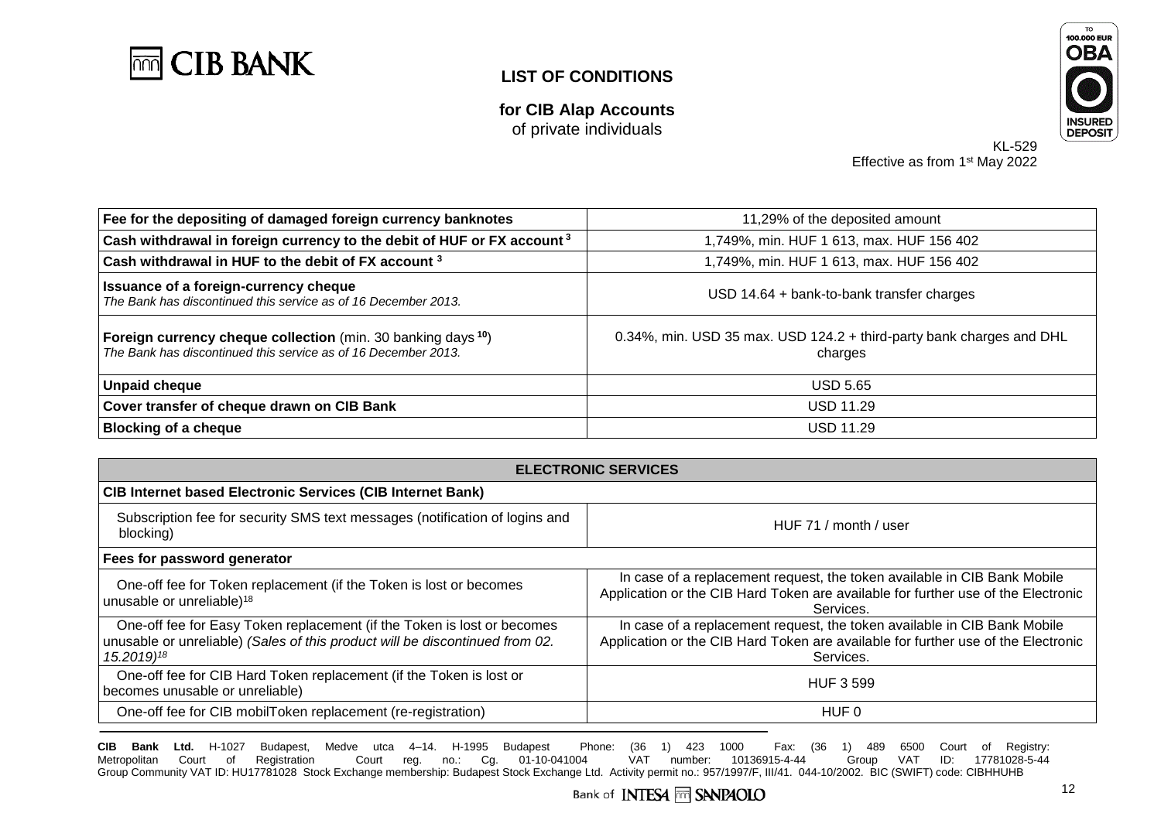

**for CIB Alap Accounts** of private individuals



KL-529 Effective as from 1<sup>st</sup> May 2022

| Fee for the depositing of damaged foreign currency banknotes                                                                                      | 11,29% of the deposited amount                                                  |  |
|---------------------------------------------------------------------------------------------------------------------------------------------------|---------------------------------------------------------------------------------|--|
| Cash withdrawal in foreign currency to the debit of HUF or FX account <sup>3</sup>                                                                | 1,749%, min. HUF 1 613, max. HUF 156 402                                        |  |
| Cash withdrawal in HUF to the debit of FX account 3                                                                                               | 1,749%, min. HUF 1 613, max. HUF 156 402                                        |  |
| Issuance of a foreign-currency cheque<br>The Bank has discontinued this service as of 16 December 2013.                                           | $USD$ 14.64 + bank-to-bank transfer charges                                     |  |
| <b>Foreign currency cheque collection</b> (min. 30 banking days <sup>10</sup> )<br>The Bank has discontinued this service as of 16 December 2013. | 0.34%, min. USD 35 max. USD 124.2 + third-party bank charges and DHL<br>charges |  |
| <b>Unpaid cheque</b>                                                                                                                              | <b>USD 5.65</b>                                                                 |  |
| Cover transfer of cheque drawn on CIB Bank                                                                                                        | <b>USD 11.29</b>                                                                |  |
| <b>Blocking of a cheque</b>                                                                                                                       | <b>USD 11.29</b>                                                                |  |

| <b>ELECTRONIC SERVICES</b>                                                                                                                                                        |                                                                                                                                                                            |  |
|-----------------------------------------------------------------------------------------------------------------------------------------------------------------------------------|----------------------------------------------------------------------------------------------------------------------------------------------------------------------------|--|
| <b>CIB Internet based Electronic Services (CIB Internet Bank)</b>                                                                                                                 |                                                                                                                                                                            |  |
| Subscription fee for security SMS text messages (notification of logins and<br>blocking)                                                                                          | HUF 71 / month / user                                                                                                                                                      |  |
| Fees for password generator                                                                                                                                                       |                                                                                                                                                                            |  |
| One-off fee for Token replacement (if the Token is lost or becomes<br>unusable or unreliable) <sup>18</sup>                                                                       | In case of a replacement request, the token available in CIB Bank Mobile<br>Application or the CIB Hard Token are available for further use of the Electronic<br>Services. |  |
| One-off fee for Easy Token replacement (if the Token is lost or becomes<br>unusable or unreliable) (Sales of this product will be discontinued from 02.<br>15.2019) <sup>18</sup> | In case of a replacement request, the token available in CIB Bank Mobile<br>Application or the CIB Hard Token are available for further use of the Electronic<br>Services. |  |
| One-off fee for CIB Hard Token replacement (if the Token is lost or<br>becomes unusable or unreliable)                                                                            | <b>HUF 3 599</b>                                                                                                                                                           |  |
| One-off fee for CIB mobilToken replacement (re-registration)                                                                                                                      | HUF 0                                                                                                                                                                      |  |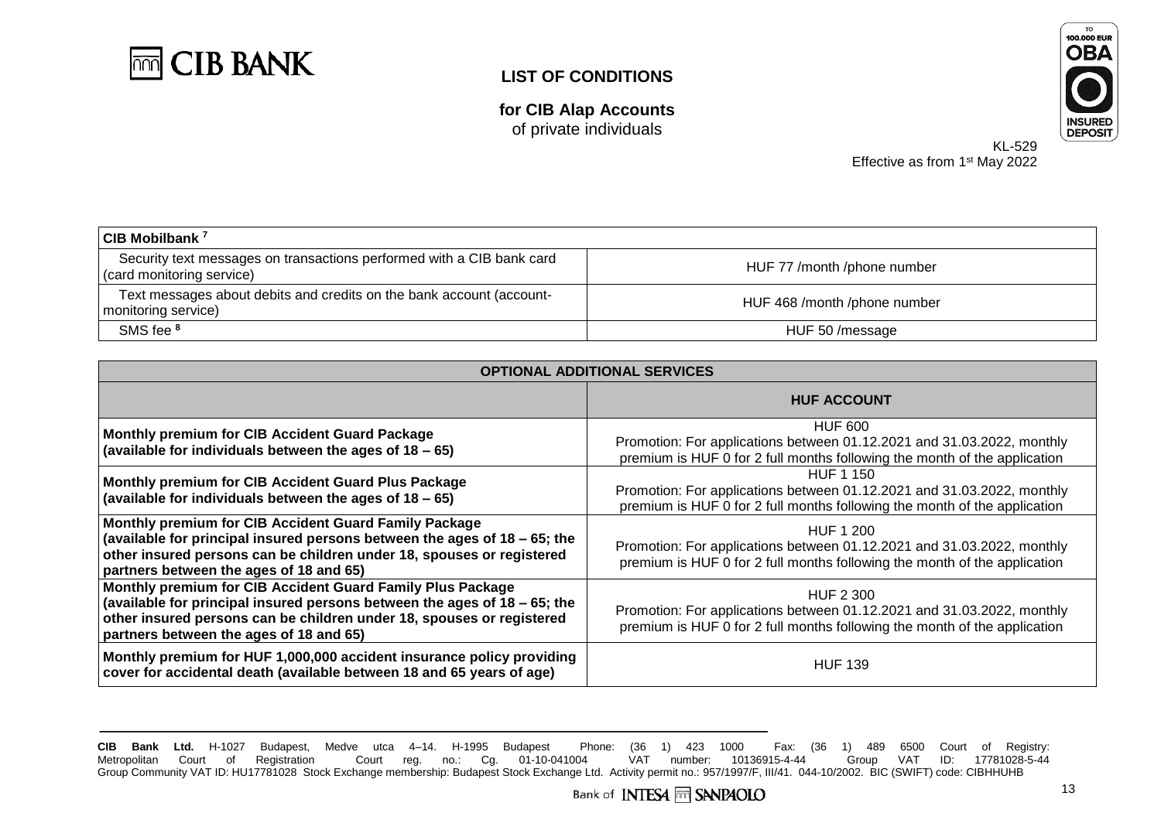

**for CIB Alap Accounts** of private individuals



KL-529 Effective as from 1<sup>st</sup> May 2022

| CIB Mobilbank <sup>7</sup>                                                                         |                              |
|----------------------------------------------------------------------------------------------------|------------------------------|
| Security text messages on transactions performed with a CIB bank card<br>(card monitoring service) | HUF 77 /month /phone number  |
| Text messages about debits and credits on the bank account (account-<br>monitoring service)        | HUF 468 /month /phone number |
| SMS fee 8                                                                                          | HUF 50/message               |

| <b>OPTIONAL ADDITIONAL SERVICES</b>                                                                                                                                                                                                                         |                                                                                                                                                                         |  |
|-------------------------------------------------------------------------------------------------------------------------------------------------------------------------------------------------------------------------------------------------------------|-------------------------------------------------------------------------------------------------------------------------------------------------------------------------|--|
|                                                                                                                                                                                                                                                             | <b>HUF ACCOUNT</b>                                                                                                                                                      |  |
| Monthly premium for CIB Accident Guard Package<br>(available for individuals between the ages of $18 - 65$ )                                                                                                                                                | <b>HUF 600</b><br>Promotion: For applications between 01.12.2021 and 31.03.2022, monthly<br>premium is HUF 0 for 2 full months following the month of the application   |  |
| Monthly premium for CIB Accident Guard Plus Package<br>(available for individuals between the ages of $18 - 65$ )                                                                                                                                           | <b>HUF 1 150</b><br>Promotion: For applications between 01.12.2021 and 31.03.2022, monthly<br>premium is HUF 0 for 2 full months following the month of the application |  |
| Monthly premium for CIB Accident Guard Family Package<br>(available for principal insured persons between the ages of 18 – 65; the<br>other insured persons can be children under 18, spouses or registered<br>partners between the ages of 18 and 65)      | HUF 1 200<br>Promotion: For applications between 01.12.2021 and 31.03.2022, monthly<br>premium is HUF 0 for 2 full months following the month of the application        |  |
| Monthly premium for CIB Accident Guard Family Plus Package<br>(available for principal insured persons between the ages of 18 - 65; the<br>other insured persons can be children under 18, spouses or registered<br>partners between the ages of 18 and 65) | HUF 2 300<br>Promotion: For applications between 01.12.2021 and 31.03.2022, monthly<br>premium is HUF 0 for 2 full months following the month of the application        |  |
| Monthly premium for HUF 1,000,000 accident insurance policy providing<br>cover for accidental death (available between 18 and 65 years of age)                                                                                                              | <b>HUF 139</b>                                                                                                                                                          |  |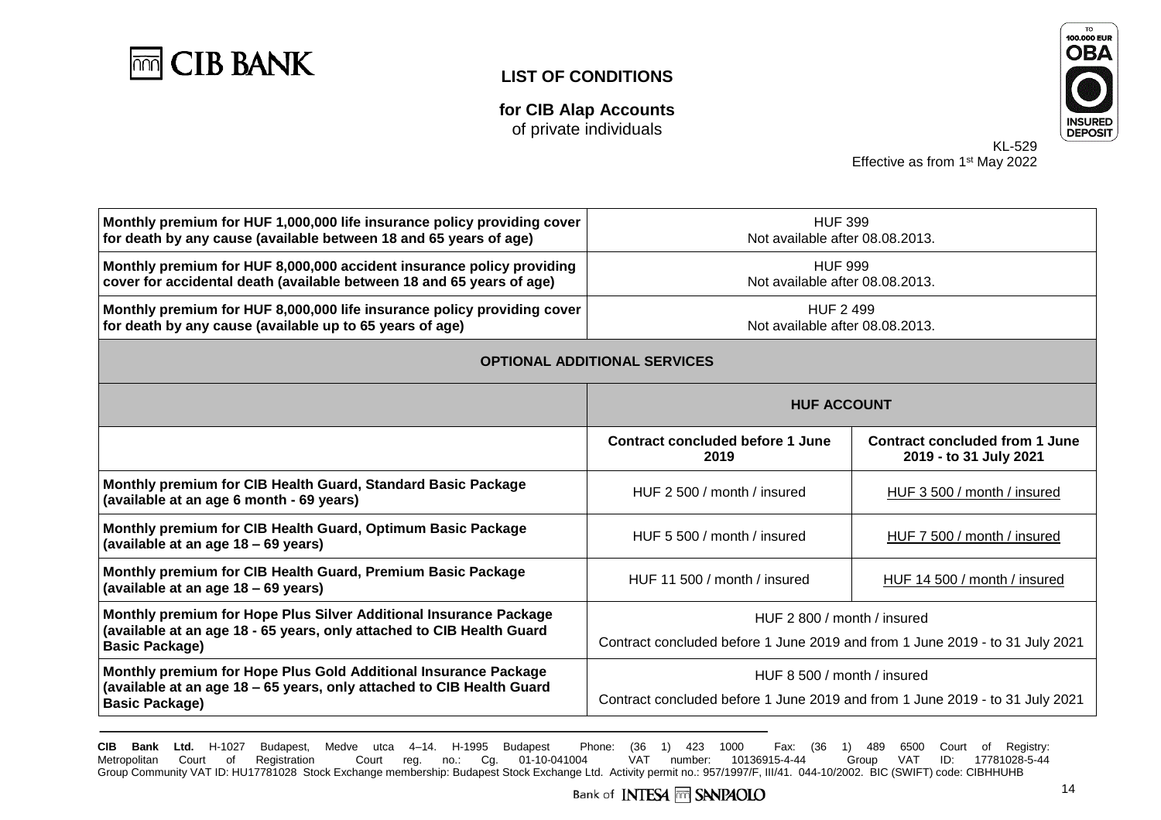

**for CIB Alap Accounts** of private individuals



KL-529 Effective as from 1<sup>st</sup> May 2022

| Monthly premium for HUF 1,000,000 life insurance policy providing cover<br>for death by any cause (available between 18 and 65 years of age)                        | <b>HUF 399</b><br>Not available after 08.08.2013.                                                           |                                                                 |
|---------------------------------------------------------------------------------------------------------------------------------------------------------------------|-------------------------------------------------------------------------------------------------------------|-----------------------------------------------------------------|
| Monthly premium for HUF 8,000,000 accident insurance policy providing<br>cover for accidental death (available between 18 and 65 years of age)                      | <b>HUF 999</b><br>Not available after 08.08.2013.                                                           |                                                                 |
| Monthly premium for HUF 8,000,000 life insurance policy providing cover<br>for death by any cause (available up to 65 years of age)                                 | <b>HUF 2499</b><br>Not available after 08.08.2013.                                                          |                                                                 |
| <b>OPTIONAL ADDITIONAL SERVICES</b>                                                                                                                                 |                                                                                                             |                                                                 |
|                                                                                                                                                                     | <b>HUF ACCOUNT</b>                                                                                          |                                                                 |
|                                                                                                                                                                     | <b>Contract concluded before 1 June</b><br>2019                                                             | <b>Contract concluded from 1 June</b><br>2019 - to 31 July 2021 |
| Monthly premium for CIB Health Guard, Standard Basic Package<br>(available at an age 6 month - 69 years)                                                            | HUF 2 500 / month / insured                                                                                 | HUF 3 500 / month / insured                                     |
| Monthly premium for CIB Health Guard, Optimum Basic Package<br>(available at an age 18 - 69 years)                                                                  | HUF 5 500 / month / insured                                                                                 | HUF 7 500 / month / insured                                     |
| Monthly premium for CIB Health Guard, Premium Basic Package<br>(available at an age 18 - 69 years)                                                                  | HUF 11 500 / month / insured                                                                                | HUF 14 500 / month / insured                                    |
| Monthly premium for Hope Plus Silver Additional Insurance Package<br>(available at an age 18 - 65 years, only attached to CIB Health Guard<br><b>Basic Package)</b> | HUF 2 800 / month / insured<br>Contract concluded before 1 June 2019 and from 1 June 2019 - to 31 July 2021 |                                                                 |
| Monthly premium for Hope Plus Gold Additional Insurance Package<br>(available at an age 18 – 65 years, only attached to CIB Health Guard<br><b>Basic Package)</b>   | HUF 8 500 / month / insured<br>Contract concluded before 1 June 2019 and from 1 June 2019 - to 31 July 2021 |                                                                 |
|                                                                                                                                                                     |                                                                                                             |                                                                 |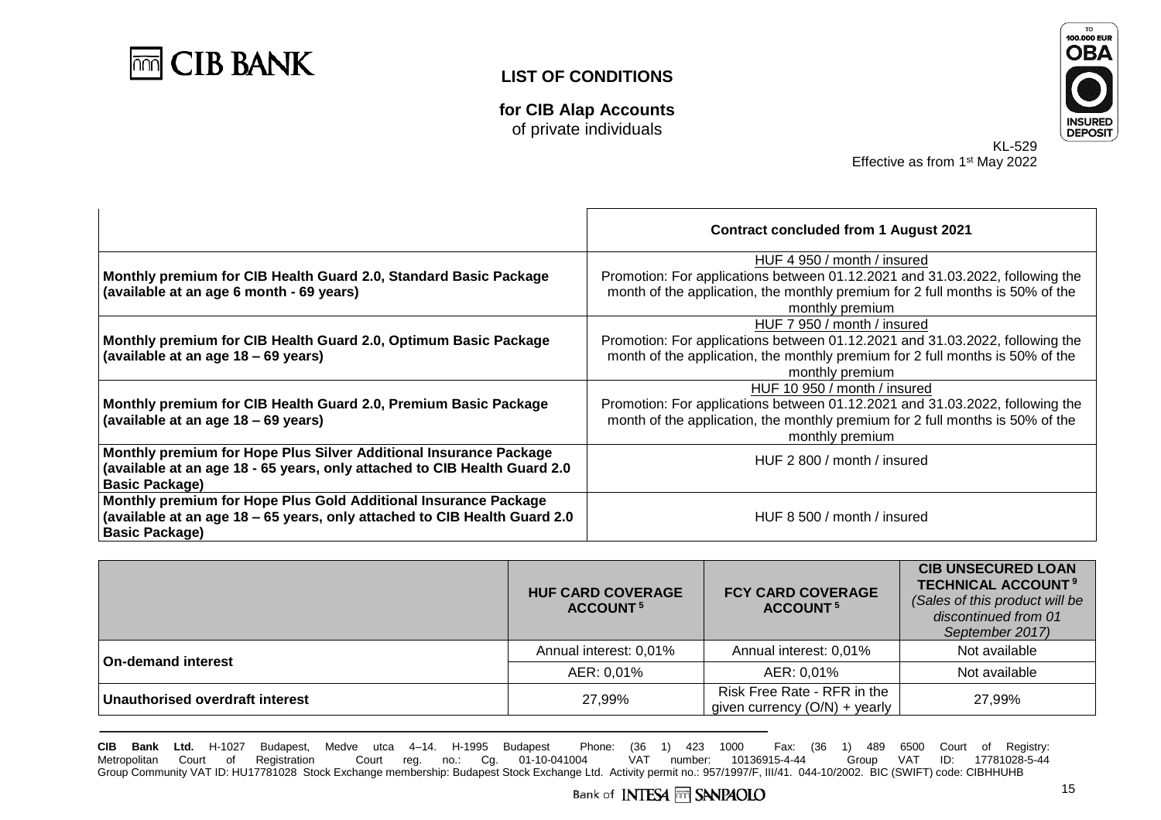

**for CIB Alap Accounts** of private individuals



KL-529 Effective as from 1<sup>st</sup> May 2022

|                                                                                                                                                                         | <b>Contract concluded from 1 August 2021</b>                                                                                                                                                                     |
|-------------------------------------------------------------------------------------------------------------------------------------------------------------------------|------------------------------------------------------------------------------------------------------------------------------------------------------------------------------------------------------------------|
| Monthly premium for CIB Health Guard 2.0, Standard Basic Package<br>(available at an age 6 month - 69 years)                                                            | HUF 4 950 / month / insured<br>Promotion: For applications between 01.12.2021 and 31.03.2022, following the<br>month of the application, the monthly premium for 2 full months is 50% of the<br>monthly premium  |
| Monthly premium for CIB Health Guard 2.0, Optimum Basic Package<br>(available at an age 18 – 69 years)                                                                  | HUF 7 950 / month / insured<br>Promotion: For applications between 01.12.2021 and 31.03.2022, following the<br>month of the application, the monthly premium for 2 full months is 50% of the<br>monthly premium  |
| Monthly premium for CIB Health Guard 2.0, Premium Basic Package<br>(available at an age 18 – 69 years)                                                                  | HUF 10 950 / month / insured<br>Promotion: For applications between 01.12.2021 and 31.03.2022, following the<br>month of the application, the monthly premium for 2 full months is 50% of the<br>monthly premium |
| Monthly premium for Hope Plus Silver Additional Insurance Package<br>(available at an age 18 - 65 years, only attached to CIB Health Guard 2.0<br><b>Basic Package)</b> | HUF 2 800 / month / insured                                                                                                                                                                                      |
| Monthly premium for Hope Plus Gold Additional Insurance Package<br>(available at an age 18 – 65 years, only attached to CIB Health Guard 2.0<br><b>Basic Package)</b>   | HUF 8 500 / month / insured                                                                                                                                                                                      |

|                                 | <b>HUF CARD COVERAGE</b><br><b>ACCOUNT<sup>5</sup></b> | <b>FCY CARD COVERAGE</b><br>ACCOUNT <sup>5</sup>               | <b>CIB UNSECURED LOAN</b><br><b>TECHNICAL ACCOUNT<sup>9</sup></b><br>(Sales of this product will be<br>discontinued from 01<br>September 2017) |
|---------------------------------|--------------------------------------------------------|----------------------------------------------------------------|------------------------------------------------------------------------------------------------------------------------------------------------|
| <b>On-demand interest</b>       | Annual interest: 0,01%                                 | Annual interest: 0,01%                                         | Not available                                                                                                                                  |
|                                 | AER: 0,01%                                             | AER: 0,01%                                                     | Not available                                                                                                                                  |
| Unauthorised overdraft interest | 27.99%                                                 | Risk Free Rate - RFR in the<br>given currency $(O/N)$ + yearly | 27.99%                                                                                                                                         |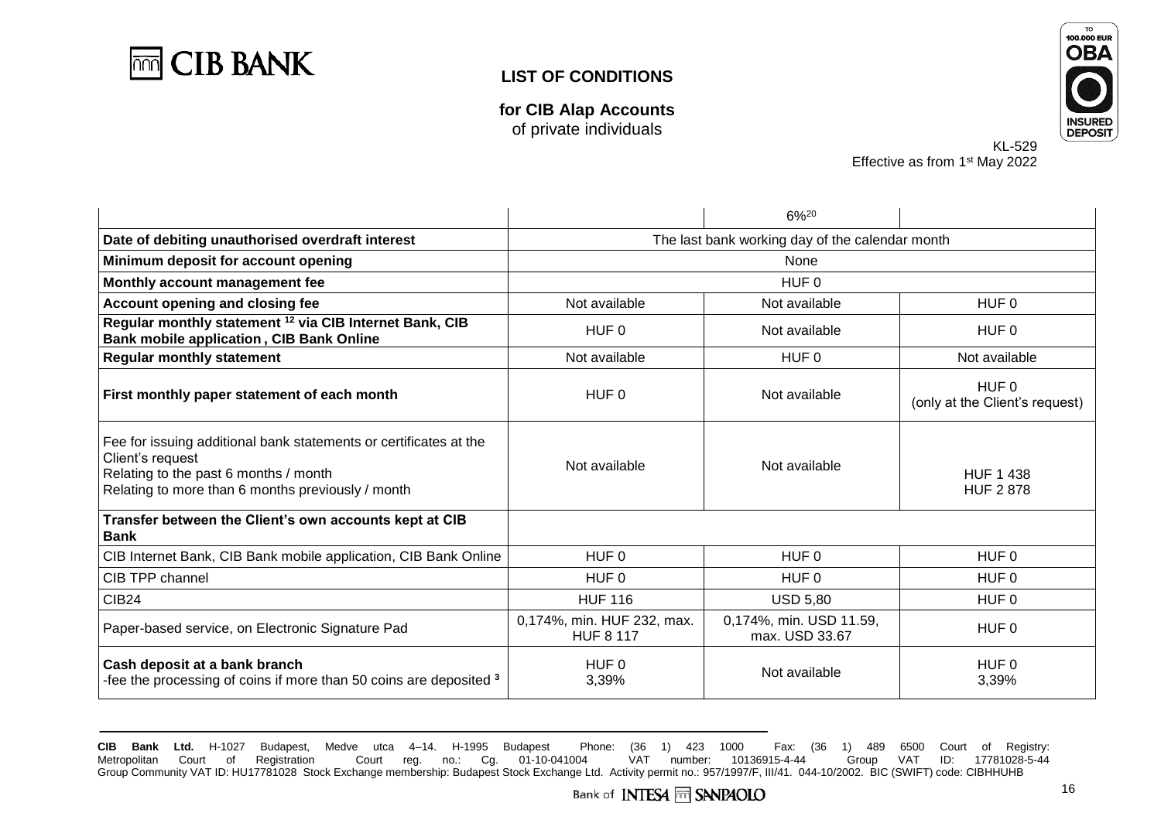

**for CIB Alap Accounts** of private individuals



KL-529 Effective as from 1<sup>st</sup> May 2022

|                                                                                                                                                                                     |                                                 | $6\%^{20}$                                |                                         |
|-------------------------------------------------------------------------------------------------------------------------------------------------------------------------------------|-------------------------------------------------|-------------------------------------------|-----------------------------------------|
| Date of debiting unauthorised overdraft interest                                                                                                                                    | The last bank working day of the calendar month |                                           |                                         |
| Minimum deposit for account opening                                                                                                                                                 | None                                            |                                           |                                         |
| Monthly account management fee                                                                                                                                                      | HUF <sub>0</sub>                                |                                           |                                         |
| Account opening and closing fee                                                                                                                                                     | Not available                                   | Not available                             | HUF 0                                   |
| Regular monthly statement <sup>12</sup> via CIB Internet Bank, CIB<br><b>Bank mobile application, CIB Bank Online</b>                                                               | HUF 0                                           | Not available                             | HUF 0                                   |
| <b>Regular monthly statement</b>                                                                                                                                                    | Not available                                   | HUF <sub>0</sub>                          | Not available                           |
| First monthly paper statement of each month                                                                                                                                         | HUF 0                                           | Not available                             | HUF 0<br>(only at the Client's request) |
| Fee for issuing additional bank statements or certificates at the<br>Client's request<br>Relating to the past 6 months / month<br>Relating to more than 6 months previously / month | Not available                                   | Not available                             | <b>HUF 1 438</b><br><b>HUF 2878</b>     |
| Transfer between the Client's own accounts kept at CIB<br><b>Bank</b>                                                                                                               |                                                 |                                           |                                         |
| CIB Internet Bank, CIB Bank mobile application, CIB Bank Online                                                                                                                     | HUF <sub>0</sub>                                | HUF <sub>0</sub>                          | HUF <sub>0</sub>                        |
| CIB TPP channel                                                                                                                                                                     | HUF 0                                           | HUF 0                                     | HUF 0                                   |
| CIB <sub>24</sub>                                                                                                                                                                   | <b>HUF 116</b>                                  | <b>USD 5,80</b>                           | HUF <sub>0</sub>                        |
| Paper-based service, on Electronic Signature Pad                                                                                                                                    | 0,174%, min. HUF 232, max.<br><b>HUF 8 117</b>  | 0,174%, min. USD 11.59,<br>max. USD 33.67 | HUF <sub>0</sub>                        |
| Cash deposit at a bank branch<br>-fee the processing of coins if more than 50 coins are deposited 3                                                                                 | HUF <sub>0</sub><br>3,39%                       | Not available                             | HUF <sub>0</sub><br>3,39%               |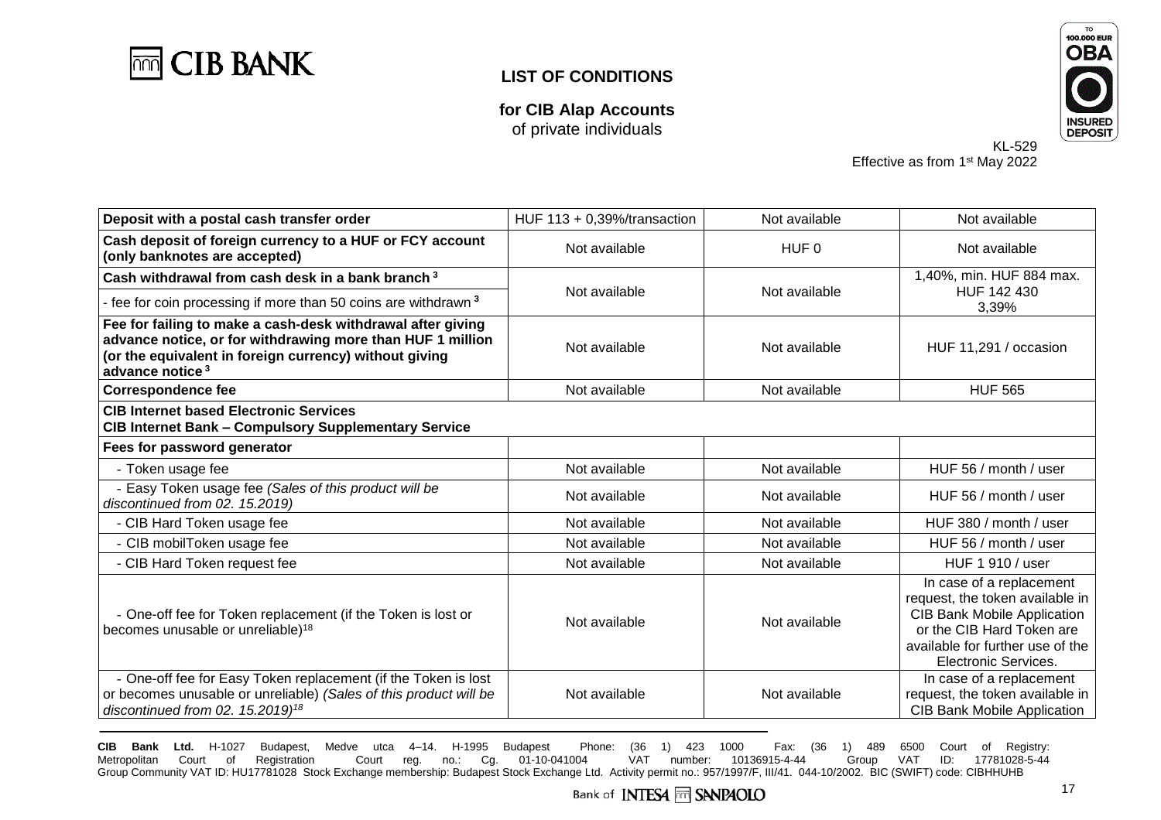

**for CIB Alap Accounts** of private individuals



KL-529 Effective as from 1<sup>st</sup> May 2022

| Deposit with a postal cash transfer order                                                                                                                                                                          | HUF $113 + 0.39%$ /transaction | Not available    | Not available                                                                                                                                                                              |
|--------------------------------------------------------------------------------------------------------------------------------------------------------------------------------------------------------------------|--------------------------------|------------------|--------------------------------------------------------------------------------------------------------------------------------------------------------------------------------------------|
| Cash deposit of foreign currency to a HUF or FCY account<br>(only banknotes are accepted)                                                                                                                          | Not available                  | HUF <sub>0</sub> | Not available                                                                                                                                                                              |
| Cash withdrawal from cash desk in a bank branch <sup>3</sup>                                                                                                                                                       | Not available                  | Not available    | 1,40%, min. HUF 884 max.                                                                                                                                                                   |
| - fee for coin processing if more than 50 coins are withdrawn <sup>3</sup>                                                                                                                                         |                                |                  | HUF 142 430<br>3,39%                                                                                                                                                                       |
| Fee for failing to make a cash-desk withdrawal after giving<br>advance notice, or for withdrawing more than HUF 1 million<br>(or the equivalent in foreign currency) without giving<br>advance notice <sup>3</sup> | Not available                  | Not available    | HUF 11,291 / occasion                                                                                                                                                                      |
| <b>Correspondence fee</b>                                                                                                                                                                                          | Not available                  | Not available    | <b>HUF 565</b>                                                                                                                                                                             |
| <b>CIB Internet based Electronic Services</b><br><b>CIB Internet Bank - Compulsory Supplementary Service</b>                                                                                                       |                                |                  |                                                                                                                                                                                            |
| Fees for password generator                                                                                                                                                                                        |                                |                  |                                                                                                                                                                                            |
| - Token usage fee                                                                                                                                                                                                  | Not available                  | Not available    | HUF 56 / month / user                                                                                                                                                                      |
| - Easy Token usage fee (Sales of this product will be<br>discontinued from 02. 15.2019)                                                                                                                            | Not available                  | Not available    | HUF 56 / month / user                                                                                                                                                                      |
| - CIB Hard Token usage fee                                                                                                                                                                                         | Not available                  | Not available    | HUF 380 / month / user                                                                                                                                                                     |
| - CIB mobilToken usage fee                                                                                                                                                                                         | Not available                  | Not available    | HUF 56 / month / user                                                                                                                                                                      |
| - CIB Hard Token request fee                                                                                                                                                                                       | Not available                  | Not available    | HUF 1 910 / user                                                                                                                                                                           |
| - One-off fee for Token replacement (if the Token is lost or<br>becomes unusable or unreliable) <sup>18</sup>                                                                                                      | Not available                  | Not available    | In case of a replacement<br>request, the token available in<br><b>CIB Bank Mobile Application</b><br>or the CIB Hard Token are<br>available for further use of the<br>Electronic Services. |
| - One-off fee for Easy Token replacement (if the Token is lost<br>or becomes unusable or unreliable) (Sales of this product will be<br>discontinued from 02. 15.2019) <sup>18</sup>                                | Not available                  | Not available    | In case of a replacement<br>request, the token available in<br><b>CIB Bank Mobile Application</b>                                                                                          |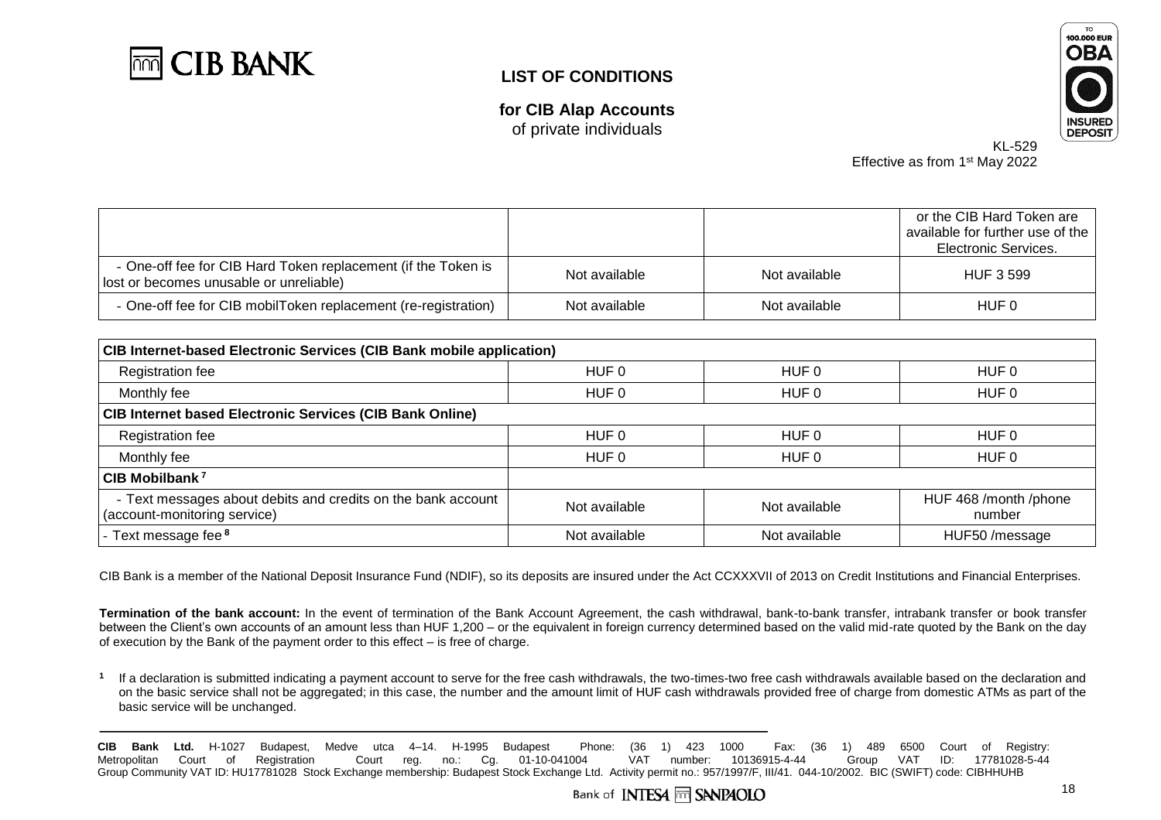

**for CIB Alap Accounts** of private individuals



KL-529 Effective as from 1<sup>st</sup> May 2022

|                                                                                                          |               |               | or the CIB Hard Token are<br>available for further use of the<br>Electronic Services. |
|----------------------------------------------------------------------------------------------------------|---------------|---------------|---------------------------------------------------------------------------------------|
| - One-off fee for CIB Hard Token replacement (if the Token is<br>lost or becomes unusable or unreliable) | Not available | Not available | <b>HUF 3 599</b>                                                                      |
| - One-off fee for CIB mobilToken replacement (re-registration)                                           | Not available | Not available | HUF 0                                                                                 |

| CIB Internet-based Electronic Services (CIB Bank mobile application)                         |                  |                  |                                 |
|----------------------------------------------------------------------------------------------|------------------|------------------|---------------------------------|
| Registration fee                                                                             | HUF 0            | HUF 0            | HUF 0                           |
| Monthly fee                                                                                  | HUF <sub>0</sub> | HUF 0            | HUF 0                           |
| <b>CIB Internet based Electronic Services (CIB Bank Online)</b>                              |                  |                  |                                 |
| Registration fee                                                                             | HUF 0            | HUF 0            | HUF 0                           |
| Monthly fee                                                                                  | HUF <sub>0</sub> | HUF <sub>0</sub> | HUF <sub>0</sub>                |
| CIB Mobilbank <sup>7</sup>                                                                   |                  |                  |                                 |
| - Text messages about debits and credits on the bank account<br>(account-monitoring service) | Not available    | Not available    | HUF 468 /month /phone<br>number |
| Text message fee <sup>8</sup>                                                                | Not available    | Not available    | HUF50/message                   |

CIB Bank is a member of the National Deposit Insurance Fund (NDIF), so its deposits are insured under the Act CCXXXVII of 2013 on Credit Institutions and Financial Enterprises.

**Termination of the bank account:** In the event of termination of the Bank Account Agreement, the cash withdrawal, bank-to-bank transfer, intrabank transfer or book transfer between the Client's own accounts of an amount less than HUF 1,200 – or the equivalent in foreign currency determined based on the valid mid-rate quoted by the Bank on the day of execution by the Bank of the payment order to this effect – is free of charge.

**1** If a declaration is submitted indicating a payment account to serve for the free cash withdrawals, the two-times-two free cash withdrawals available based on the declaration and on the basic service shall not be aggregated; in this case, the number and the amount limit of HUF cash withdrawals provided free of charge from domestic ATMs as part of the basic service will be unchanged.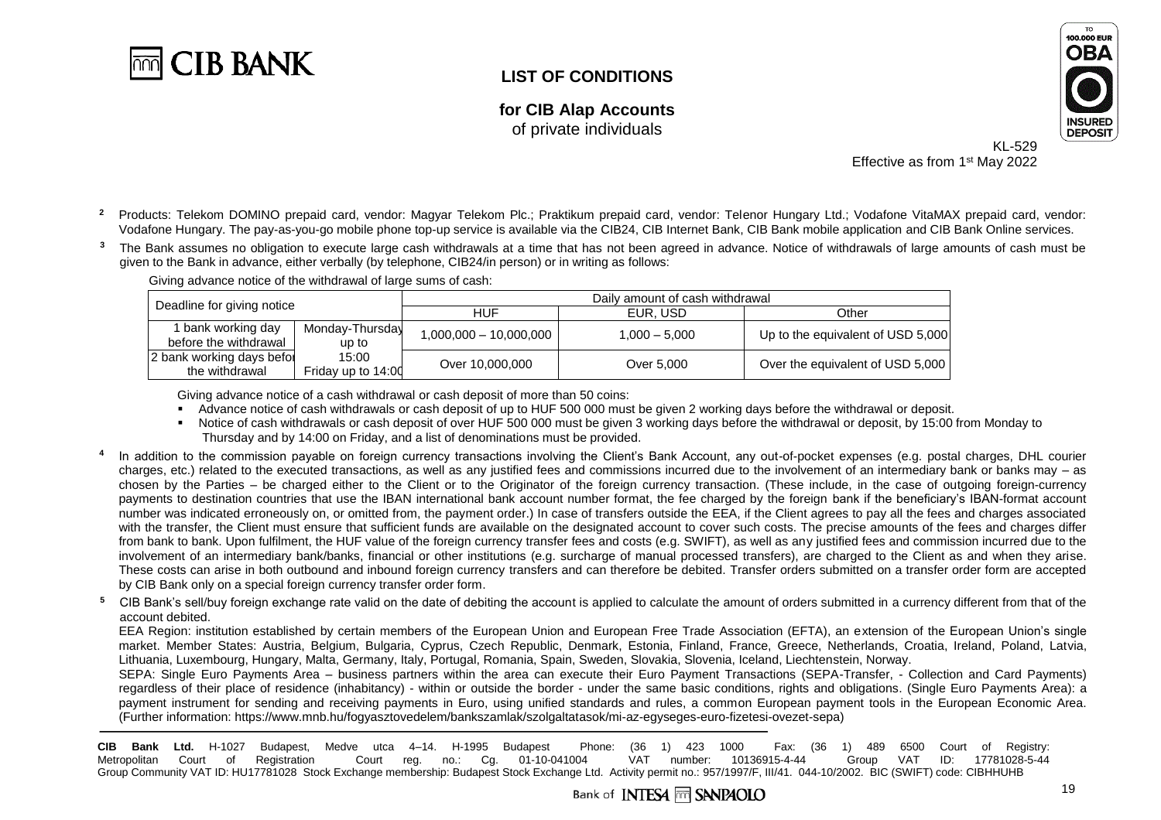

**for CIB Alap Accounts** of private individuals



KL-529 Effective as from 1<sup>st</sup> May 2022

- <sup>2</sup> Products: Telekom DOMINO prepaid card, vendor: Magyar Telekom Plc.; Praktikum prepaid card, vendor: Telenor Hungary Ltd.; Vodafone VitaMAX prepaid card, vendor: Vodafone Hungary. The pay-as-you-go mobile phone top-up service is available via the CIB24, CIB Internet Bank, CIB Bank mobile application and CIB Bank Online services.
- <sup>3</sup> The Bank assumes no obligation to execute large cash withdrawals at a time that has not been agreed in advance. Notice of withdrawals of large amounts of cash must be given to the Bank in advance, either verbally (by telephone, CIB24/in person) or in writing as follows:

Deadline for giving notice **Daily amount of cash withdrawal**<br>
HUF HUE EUR. USD EUR, USD Cther 1 bank working day before the withdrawal Monday-Thursday up to 15:00 1,000,000 – 10,000,000 1,000 – 5,000 Up to the equivalent of USD 5,000 2 bank working days befor

Giving advance notice of the withdrawal of large sums of cash:

Friday up to 14:00

Giving advance notice of a cash withdrawal or cash deposit of more than 50 coins:

Advance notice of cash withdrawals or cash deposit of up to HUF 500 000 must be given 2 working days before the withdrawal or deposit.

the withdrawal Terriday up to 14:00<br>The withdrawal Triday up to 14:00 Over 10,000,000

- Notice of cash withdrawals or cash deposit of over HUF 500 000 must be given 3 working days before the withdrawal or deposit, by 15:00 from Monday to Thursday and by 14:00 on Friday, and a list of denominations must be provided.
- **4** In addition to the commission payable on foreign currency transactions involving the Client's Bank Account, any out-of-pocket expenses (e.g. postal charges, DHL courier charges, etc.) related to the executed transactions, as well as any justified fees and commissions incurred due to the involvement of an intermediary bank or banks may  $-$  as chosen by the Parties – be charged either to the Client or to the Originator of the foreign currency transaction. (These include, in the case of outgoing foreign-currency payments to destination countries that use the IBAN international bank account number format, the fee charged by the foreign bank if the beneficiary's IBAN-format account number was indicated erroneously on, or omitted from, the payment order.) In case of transfers outside the EEA, if the Client agrees to pay all the fees and charges associated with the transfer, the Client must ensure that sufficient funds are available on the designated account to cover such costs. The precise amounts of the fees and charges differ from bank to bank. Upon fulfilment, the HUF value of the foreign currency transfer fees and costs (e.g. SWIFT), as well as any justified fees and commission incurred due to the involvement of an intermediary bank/banks, financial or other institutions (e.g. surcharge of manual processed transfers), are charged to the Client as and when they arise. These costs can arise in both outbound and inbound foreign currency transfers and can therefore be debited. Transfer orders submitted on a transfer order form are accepted by CIB Bank only on a special foreign currency transfer order form.
- <sup>5</sup> CIB Bank's sell/buy foreign exchange rate valid on the date of debiting the account is applied to calculate the amount of orders submitted in a currency different from that of the account debited.

EEA Region: institution established by certain members of the European Union and European Free Trade Association (EFTA), an extension of the European Union's single market. Member States: Austria, Belgium, Bulgaria, Cyprus, Czech Republic, Denmark, Estonia, Finland, France, Greece, Netherlands, Croatia, Ireland, Poland, Latvia, Lithuania, Luxembourg, Hungary, Malta, Germany, Italy, Portugal, Romania, Spain, Sweden, Slovakia, Slovenia, Iceland, Liechtenstein, Norway.

SEPA: Single Euro Payments Area – business partners within the area can execute their Euro Payment Transactions (SEPA-Transfer, - Collection and Card Payments) regardless of their place of residence (inhabitancy) - within or outside the border - under the same basic conditions, rights and obligations. (Single Euro Payments Area): a payment instrument for sending and receiving payments in Euro, using unified standards and rules, a common European payment tools in the European Economic Area. (Further information: [https://www.mnb.hu/fogyasztovedelem/bankszamlak/szolgaltatasok/mi-az-egyseges-euro-fizetesi-ovezet-sepa\)](https://www.mnb.hu/fogyasztovedelem/bankszamlak/szolgaltatasok/mi-az-egyseges-euro-fizetesi-ovezet-sepa)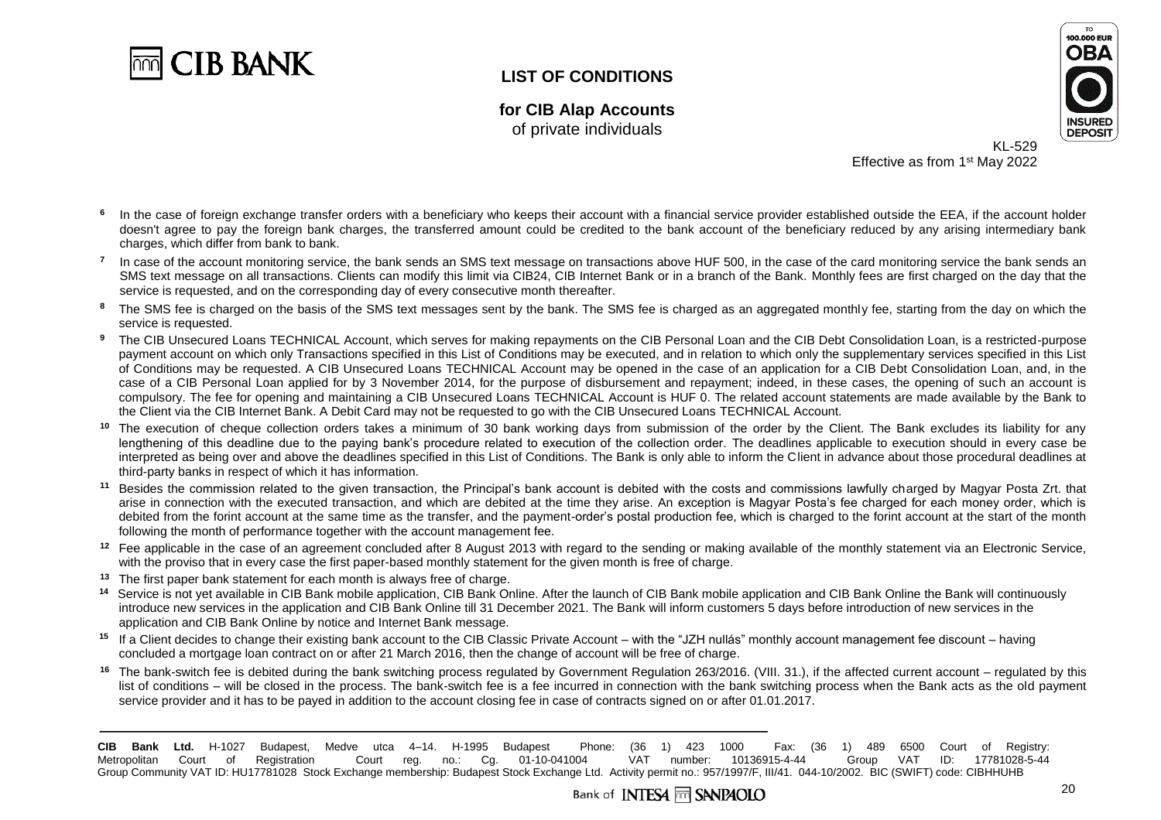

**for CIB Alap Accounts** of private individuals



KL-529 Effective as from 1<sup>st</sup> May 2022

- **6** In the case of foreign exchange transfer orders with a beneficiary who keeps their account with a financial service provider established outside the EEA, if the account holder doesn't agree to pay the foreign bank charges, the transferred amount could be credited to the bank account of the beneficiary reduced by any arising intermediary bank charges, which differ from bank to bank.
- **7** In case of the account monitoring service, the bank sends an SMS text message on transactions above HUF 500, in the case of the card monitoring service the bank sends an SMS text message on all transactions. Clients can modify this limit via CIB24, CIB Internet Bank or in a branch of the Bank. Monthly fees are first charged on the day that the service is requested, and on the corresponding day of every consecutive month thereafter.
- <sup>8</sup> The SMS fee is charged on the basis of the SMS text messages sent by the bank. The SMS fee is charged as an aggregated monthly fee, starting from the day on which the service is requested.
- The CIB Unsecured Loans TECHNICAL Account, which serves for making repayments on the CIB Personal Loan and the CIB Debt Consolidation Loan, is a restricted-purpose payment account on which only Transactions specified in this List of Conditions may be executed, and in relation to which only the supplementary services specified in this List of Conditions may be requested. A CIB Unsecured Loans TECHNICAL Account may be opened in the case of an application for a CIB Debt Consolidation Loan, and, in the case of a CIB Personal Loan applied for by 3 November 2014, for the purpose of disbursement and repayment; indeed, in these cases, the opening of such an account is compulsory. The fee for opening and maintaining a CIB Unsecured Loans TECHNICAL Account is HUF 0. The related account statements are made available by the Bank to the Client via the CIB Internet Bank. A Debit Card may not be requested to go with the CIB Unsecured Loans TECHNICAL Account.
- **<sup>10</sup>** The execution of cheque collection orders takes a minimum of 30 bank working days from submission of the order by the Client. The Bank excludes its liability for any lengthening of this deadline due to the paying bank's procedure related to execution of the collection order. The deadlines applicable to execution should in every case be interpreted as being over and above the deadlines specified in this List of Conditions. The Bank is only able to inform the Client in advance about those procedural deadlines at third-party banks in respect of which it has information.
- **<sup>11</sup>** Besides the commission related to the given transaction, the Principal's bank account is debited with the costs and commissions lawfully charged by Magyar Posta Zrt. that arise in connection with the executed transaction, and which are debited at the time they arise. An exception is Magyar Posta's fee charged for each money order, which is debited from the forint account at the same time as the transfer, and the payment-order's postal production fee, which is charged to the forint account at the start of the month following the month of performance together with the account management fee.
- <sup>12</sup> Fee applicable in the case of an agreement concluded after 8 August 2013 with regard to the sending or making available of the monthly statement via an Electronic Service, with the proviso that in every case the first paper-based monthly statement for the given month is free of charge.
- **<sup>13</sup>** The first paper bank statement for each month is always free of charge.
- <sup>14</sup> Service is not yet available in CIB Bank mobile application, CIB Bank Online. After the launch of CIB Bank mobile application and CIB Bank Online the Bank will continuously introduce new services in the application and CIB Bank Online till 31 December 2021. The Bank will inform customers 5 days before introduction of new services in the application and CIB Bank Online by notice and Internet Bank message.
- **<sup>15</sup>** If a Client decides to change their existing bank account to the CIB Classic Private Account with the "JZH nullás" monthly account management fee discount having concluded a mortgage loan contract on or after 21 March 2016, then the change of account will be free of charge.
- **<sup>16</sup>** The bank-switch fee is debited during the bank switching process regulated by Government Regulation 263/2016. (VIII. 31.), if the affected current account regulated by this list of conditions – will be closed in the process. The bank-switch fee is a fee incurred in connection with the bank switching process when the Bank acts as the old payment service provider and it has to be payed in addition to the account closing fee in case of contracts signed on or after 01.01.2017.